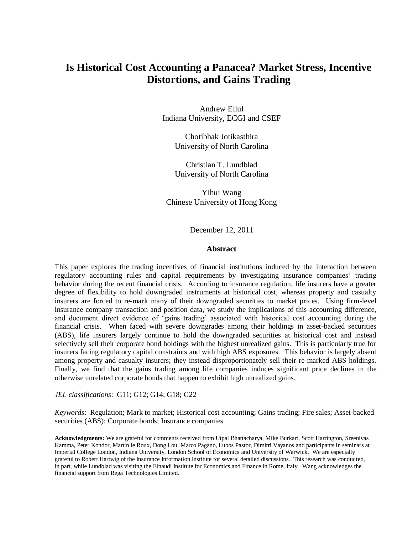# **Is Historical Cost Accounting a Panacea? Market Stress, Incentive Distortions, and Gains Trading**

Andrew Ellul Indiana University, ECGI and CSEF

> Chotibhak Jotikasthira University of North Carolina

> Christian T. Lundblad University of North Carolina

Yihui Wang Chinese University of Hong Kong

December 12, 2011

### **Abstract**

This paper explores the trading incentives of financial institutions induced by the interaction between regulatory accounting rules and capital requirements by investigating insurance companies' trading behavior during the recent financial crisis. According to insurance regulation, life insurers have a greater degree of flexibility to hold downgraded instruments at historical cost, whereas property and casualty insurers are forced to re-mark many of their downgraded securities to market prices. Using firm-level insurance company transaction and position data, we study the implications of this accounting difference, and document direct evidence of 'gains trading' associated with historical cost accounting during the financial crisis. When faced with severe downgrades among their holdings in asset-backed securities (ABS), life insurers largely continue to hold the downgraded securities at historical cost and instead selectively sell their corporate bond holdings with the highest unrealized gains. This is particularly true for insurers facing regulatory capital constraints and with high ABS exposures. This behavior is largely absent among property and casualty insurers; they instead disproportionately sell their re-marked ABS holdings. Finally, we find that the gains trading among life companies induces significant price declines in the otherwise unrelated corporate bonds that happen to exhibit high unrealized gains.

*JEL classifications*: G11; G12; G14; G18; G22

*Keywords*: Regulation; Mark to market; Historical cost accounting; Gains trading; Fire sales; Asset-backed securities (ABS); Corporate bonds; Insurance companies

**Acknowledgments:** We are grateful for comments received from Utpal Bhattacharya, Mike Burkart, Scott Harrington, Sreenivas Kamma, Peter Kondor, Martin le Roux, Dong Lou, Marco Pagano, Lubos Pastor, Dimitri Vayanos and participants in seminars at Imperial College London, Indiana University, London School of Economics and University of Warwick. We are especially grateful to Robert Hartwig of the Insurance Information Institute for several detailed discussions. This research was conducted, in part, while Lundblad was visiting the Einaudi Institute for Economics and Finance in Rome, Italy. Wang acknowledges the financial support from Rega Technologies Limited.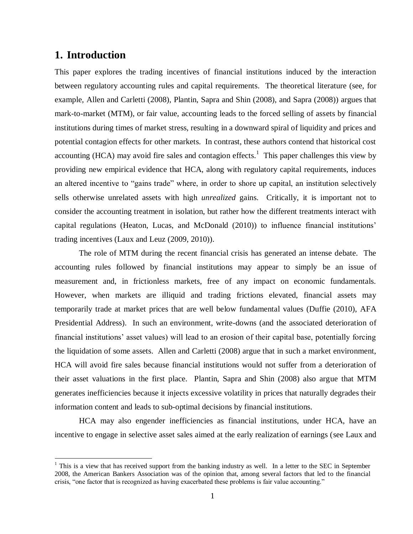# **1. Introduction**

 $\overline{a}$ 

This paper explores the trading incentives of financial institutions induced by the interaction between regulatory accounting rules and capital requirements. The theoretical literature (see, for example, Allen and Carletti (2008), Plantin, Sapra and Shin (2008), and Sapra (2008)) argues that mark-to-market (MTM), or fair value, accounting leads to the forced selling of assets by financial institutions during times of market stress, resulting in a downward spiral of liquidity and prices and potential contagion effects for other markets. In contrast, these authors contend that historical cost accounting (HCA) may avoid fire sales and contagion effects.<sup>1</sup> This paper challenges this view by providing new empirical evidence that HCA, along with regulatory capital requirements, induces an altered incentive to "gains trade" where, in order to shore up capital, an institution selectively sells otherwise unrelated assets with high *unrealized* gains. Critically, it is important not to consider the accounting treatment in isolation, but rather how the different treatments interact with capital regulations (Heaton, Lucas, and McDonald (2010)) to influence financial institutions' trading incentives (Laux and Leuz (2009, 2010)).

The role of MTM during the recent financial crisis has generated an intense debate. The accounting rules followed by financial institutions may appear to simply be an issue of measurement and, in frictionless markets, free of any impact on economic fundamentals. However, when markets are illiquid and trading frictions elevated, financial assets may temporarily trade at market prices that are well below fundamental values (Duffie (2010), AFA Presidential Address). In such an environment, write-downs (and the associated deterioration of financial institutions' asset values) will lead to an erosion of their capital base, potentially forcing the liquidation of some assets. Allen and Carletti (2008) argue that in such a market environment, HCA will avoid fire sales because financial institutions would not suffer from a deterioration of their asset valuations in the first place. Plantin, Sapra and Shin (2008) also argue that MTM generates inefficiencies because it injects excessive volatility in prices that naturally degrades their information content and leads to sub-optimal decisions by financial institutions.

HCA may also engender inefficiencies as financial institutions, under HCA, have an incentive to engage in selective asset sales aimed at the early realization of earnings (see Laux and

 $1$  This is a view that has received support from the banking industry as well. In a letter to the SEC in September 2008, the American Bankers Association was of the opinion that, among several factors that led to the financial crisis, "one factor that is recognized as having exacerbated these problems is fair value accounting."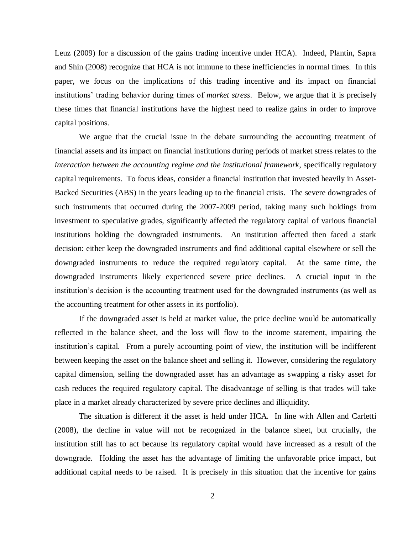Leuz (2009) for a discussion of the gains trading incentive under HCA). Indeed, Plantin, Sapra and Shin (2008) recognize that HCA is not immune to these inefficiencies in normal times. In this paper, we focus on the implications of this trading incentive and its impact on financial institutions' trading behavior during times of *market stress*. Below, we argue that it is precisely these times that financial institutions have the highest need to realize gains in order to improve capital positions.

We argue that the crucial issue in the debate surrounding the accounting treatment of financial assets and its impact on financial institutions during periods of market stress relates to the *interaction between the accounting regime and the institutional framework*, specifically regulatory capital requirements. To focus ideas, consider a financial institution that invested heavily in Asset-Backed Securities (ABS) in the years leading up to the financial crisis. The severe downgrades of such instruments that occurred during the 2007-2009 period, taking many such holdings from investment to speculative grades, significantly affected the regulatory capital of various financial institutions holding the downgraded instruments. An institution affected then faced a stark decision: either keep the downgraded instruments and find additional capital elsewhere or sell the downgraded instruments to reduce the required regulatory capital. At the same time, the downgraded instruments likely experienced severe price declines. A crucial input in the institution's decision is the accounting treatment used for the downgraded instruments (as well as the accounting treatment for other assets in its portfolio).

If the downgraded asset is held at market value, the price decline would be automatically reflected in the balance sheet, and the loss will flow to the income statement, impairing the institution's capital. From a purely accounting point of view, the institution will be indifferent between keeping the asset on the balance sheet and selling it. However, considering the regulatory capital dimension, selling the downgraded asset has an advantage as swapping a risky asset for cash reduces the required regulatory capital. The disadvantage of selling is that trades will take place in a market already characterized by severe price declines and illiquidity.

The situation is different if the asset is held under HCA. In line with Allen and Carletti (2008), the decline in value will not be recognized in the balance sheet, but crucially, the institution still has to act because its regulatory capital would have increased as a result of the downgrade. Holding the asset has the advantage of limiting the unfavorable price impact, but additional capital needs to be raised. It is precisely in this situation that the incentive for gains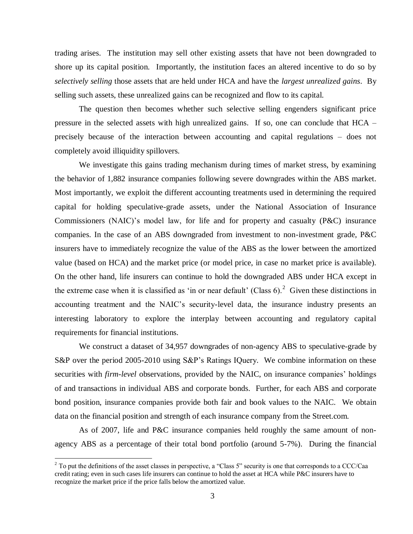trading arises. The institution may sell other existing assets that have not been downgraded to shore up its capital position. Importantly, the institution faces an altered incentive to do so by *selectively selling* those assets that are held under HCA and have the *largest unrealized gains*. By selling such assets, these unrealized gains can be recognized and flow to its capital.

The question then becomes whether such selective selling engenders significant price pressure in the selected assets with high unrealized gains. If so, one can conclude that HCA – precisely because of the interaction between accounting and capital regulations – does not completely avoid illiquidity spillovers.

We investigate this gains trading mechanism during times of market stress, by examining the behavior of 1,882 insurance companies following severe downgrades within the ABS market. Most importantly, we exploit the different accounting treatments used in determining the required capital for holding speculative-grade assets, under the National Association of Insurance Commissioners (NAIC)'s model law, for life and for property and casualty (P&C) insurance companies. In the case of an ABS downgraded from investment to non-investment grade, P&C insurers have to immediately recognize the value of the ABS as the lower between the amortized value (based on HCA) and the market price (or model price, in case no market price is available). On the other hand, life insurers can continue to hold the downgraded ABS under HCA except in the extreme case when it is classified as 'in or near default' (Class  $6$ ).<sup>2</sup> Given these distinctions in accounting treatment and the NAIC's security-level data, the insurance industry presents an interesting laboratory to explore the interplay between accounting and regulatory capital requirements for financial institutions.

We construct a dataset of 34,957 downgrades of non-agency ABS to speculative-grade by S&P over the period 2005-2010 using S&P's Ratings IQuery. We combine information on these securities with *firm-level* observations, provided by the NAIC, on insurance companies' holdings of and transactions in individual ABS and corporate bonds. Further, for each ABS and corporate bond position, insurance companies provide both fair and book values to the NAIC. We obtain data on the financial position and strength of each insurance company from the Street.com.

As of 2007, life and P&C insurance companies held roughly the same amount of nonagency ABS as a percentage of their total bond portfolio (around 5-7%). During the financial

<sup>&</sup>lt;sup>2</sup> To put the definitions of the asset classes in perspective, a "Class 5" security is one that corresponds to a CCC/Caa credit rating; even in such cases life insurers can continue to hold the asset at HCA while P&C insurers have to recognize the market price if the price falls below the amortized value.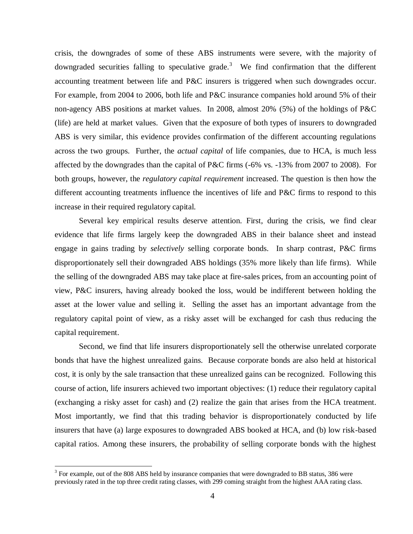crisis, the downgrades of some of these ABS instruments were severe, with the majority of downgraded securities falling to speculative grade.<sup>3</sup> We find confirmation that the different accounting treatment between life and P&C insurers is triggered when such downgrades occur. For example, from 2004 to 2006, both life and P&C insurance companies hold around 5% of their non-agency ABS positions at market values. In 2008, almost 20% (5%) of the holdings of P&C (life) are held at market values. Given that the exposure of both types of insurers to downgraded ABS is very similar, this evidence provides confirmation of the different accounting regulations across the two groups. Further, the *actual capital* of life companies, due to HCA, is much less affected by the downgrades than the capital of P&C firms (-6% vs. -13% from 2007 to 2008). For both groups, however, the *regulatory capital requirement* increased. The question is then how the different accounting treatments influence the incentives of life and P&C firms to respond to this increase in their required regulatory capital.

Several key empirical results deserve attention. First, during the crisis, we find clear evidence that life firms largely keep the downgraded ABS in their balance sheet and instead engage in gains trading by *selectively* selling corporate bonds. In sharp contrast, P&C firms disproportionately sell their downgraded ABS holdings (35% more likely than life firms). While the selling of the downgraded ABS may take place at fire-sales prices, from an accounting point of view, P&C insurers, having already booked the loss, would be indifferent between holding the asset at the lower value and selling it. Selling the asset has an important advantage from the regulatory capital point of view, as a risky asset will be exchanged for cash thus reducing the capital requirement.

Second, we find that life insurers disproportionately sell the otherwise unrelated corporate bonds that have the highest unrealized gains. Because corporate bonds are also held at historical cost, it is only by the sale transaction that these unrealized gains can be recognized. Following this course of action, life insurers achieved two important objectives: (1) reduce their regulatory capital (exchanging a risky asset for cash) and (2) realize the gain that arises from the HCA treatment. Most importantly, we find that this trading behavior is disproportionately conducted by life insurers that have (a) large exposures to downgraded ABS booked at HCA, and (b) low risk-based capital ratios. Among these insurers, the probability of selling corporate bonds with the highest

 $3$  For example, out of the 808 ABS held by insurance companies that were downgraded to BB status, 386 were previously rated in the top three credit rating classes, with 299 coming straight from the highest AAA rating class.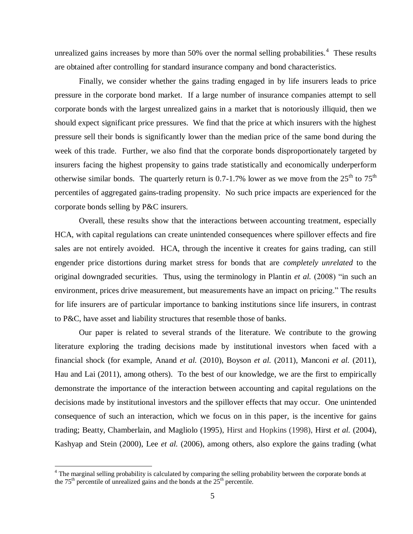unrealized gains increases by more than  $50\%$  over the normal selling probabilities.<sup>4</sup> These results are obtained after controlling for standard insurance company and bond characteristics.

Finally, we consider whether the gains trading engaged in by life insurers leads to price pressure in the corporate bond market. If a large number of insurance companies attempt to sell corporate bonds with the largest unrealized gains in a market that is notoriously illiquid, then we should expect significant price pressures. We find that the price at which insurers with the highest pressure sell their bonds is significantly lower than the median price of the same bond during the week of this trade. Further, we also find that the corporate bonds disproportionately targeted by insurers facing the highest propensity to gains trade statistically and economically underperform otherwise similar bonds. The quarterly return is 0.7-1.7% lower as we move from the  $25<sup>th</sup>$  to  $75<sup>th</sup>$ percentiles of aggregated gains-trading propensity. No such price impacts are experienced for the corporate bonds selling by P&C insurers.

Overall, these results show that the interactions between accounting treatment, especially HCA, with capital regulations can create unintended consequences where spillover effects and fire sales are not entirely avoided. HCA, through the incentive it creates for gains trading, can still engender price distortions during market stress for bonds that are *completely unrelated* to the original downgraded securities. Thus, using the terminology in Plantin *et al.* (2008) "in such an environment, prices drive measurement, but measurements have an impact on pricing." The results for life insurers are of particular importance to banking institutions since life insurers, in contrast to P&C, have asset and liability structures that resemble those of banks.

Our paper is related to several strands of the literature. We contribute to the growing literature exploring the trading decisions made by institutional investors when faced with a financial shock (for example, Anand *et al.* (2010), Boyson *et al.* (2011), Manconi *et al.* (2011), Hau and Lai (2011), among others). To the best of our knowledge, we are the first to empirically demonstrate the importance of the interaction between accounting and capital regulations on the decisions made by institutional investors and the spillover effects that may occur. One unintended consequence of such an interaction, which we focus on in this paper, is the incentive for gains trading; Beatty, Chamberlain, and Magliolo (1995), Hirst and Hopkins (1998), Hirst *et al.* (2004), Kashyap and Stein (2000), Lee *et al.* (2006), among others, also explore the gains trading (what

 $4$  The marginal selling probability is calculated by comparing the selling probability between the corporate bonds at the  $75<sup>th</sup>$  percentile of unrealized gains and the bonds at the  $25<sup>th</sup>$  percentile.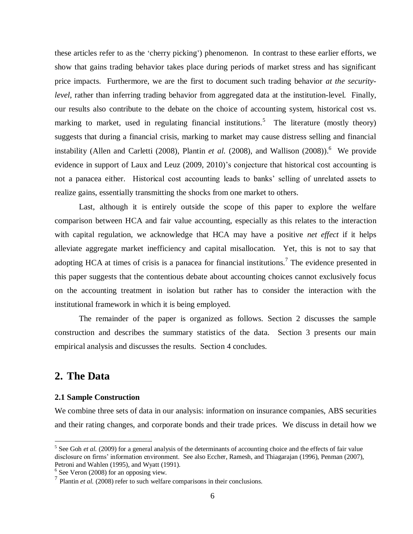these articles refer to as the 'cherry picking') phenomenon. In contrast to these earlier efforts, we show that gains trading behavior takes place during periods of market stress and has significant price impacts. Furthermore, we are the first to document such trading behavior *at the securitylevel*, rather than inferring trading behavior from aggregated data at the institution-level. Finally, our results also contribute to the debate on the choice of accounting system, historical cost vs. marking to market, used in regulating financial institutions.<sup>5</sup> The literature (mostly theory) suggests that during a financial crisis, marking to market may cause distress selling and financial instability (Allen and Carletti (2008), Plantin *et al.* (2008), and Wallison (2008)).<sup>6</sup> We provide evidence in support of Laux and Leuz (2009, 2010)'s conjecture that historical cost accounting is not a panacea either. Historical cost accounting leads to banks' selling of unrelated assets to realize gains, essentially transmitting the shocks from one market to others.

Last, although it is entirely outside the scope of this paper to explore the welfare comparison between HCA and fair value accounting, especially as this relates to the interaction with capital regulation, we acknowledge that HCA may have a positive *net effect* if it helps alleviate aggregate market inefficiency and capital misallocation. Yet, this is not to say that adopting HCA at times of crisis is a panacea for financial institutions.<sup>7</sup> The evidence presented in this paper suggests that the contentious debate about accounting choices cannot exclusively focus on the accounting treatment in isolation but rather has to consider the interaction with the institutional framework in which it is being employed.

The remainder of the paper is organized as follows. Section 2 discusses the sample construction and describes the summary statistics of the data. Section 3 presents our main empirical analysis and discusses the results. Section 4 concludes.

# **2. The Data**

 $\overline{a}$ 

## **2.1 Sample Construction**

We combine three sets of data in our analysis: information on insurance companies, ABS securities and their rating changes, and corporate bonds and their trade prices. We discuss in detail how we

 $<sup>5</sup>$  See Goh *et al.* (2009) for a general analysis of the determinants of accounting choice and the effects of fair value</sup> disclosure on firms' information environment. See also Eccher, Ramesh, and Thiagarajan (1996), Penman (2007), Petroni and Wahlen (1995), and Wyatt (1991).

<sup>6</sup> See Veron (2008) for an opposing view.

 $<sup>7</sup>$  Plantin *et al.* (2008) refer to such welfare comparisons in their conclusions.</sup>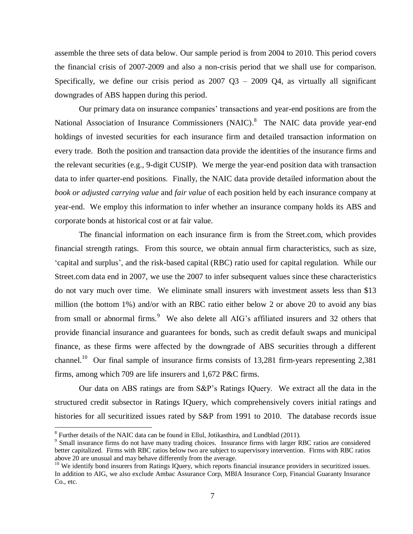assemble the three sets of data below. Our sample period is from 2004 to 2010. This period covers the financial crisis of 2007-2009 and also a non-crisis period that we shall use for comparison. Specifically, we define our crisis period as  $2007 \text{ Q}3 - 2009 \text{ Q}4$ , as virtually all significant downgrades of ABS happen during this period.

Our primary data on insurance companies' transactions and year-end positions are from the National Association of Insurance Commissioners (NAIC).<sup>8</sup> The NAIC data provide year-end holdings of invested securities for each insurance firm and detailed transaction information on every trade. Both the position and transaction data provide the identities of the insurance firms and the relevant securities (e.g., 9-digit CUSIP). We merge the year-end position data with transaction data to infer quarter-end positions. Finally, the NAIC data provide detailed information about the *book or adjusted carrying value* and *fair value* of each position held by each insurance company at year-end. We employ this information to infer whether an insurance company holds its ABS and corporate bonds at historical cost or at fair value.

The financial information on each insurance firm is from the Street.com, which provides financial strength ratings. From this source, we obtain annual firm characteristics, such as size, 'capital and surplus', and the risk-based capital (RBC) ratio used for capital regulation. While our Street.com data end in 2007, we use the 2007 to infer subsequent values since these characteristics do not vary much over time. We eliminate small insurers with investment assets less than \$13 million (the bottom 1%) and/or with an RBC ratio either below 2 or above 20 to avoid any bias from small or abnormal firms.<sup>9</sup> We also delete all AIG's affiliated insurers and 32 others that provide financial insurance and guarantees for bonds, such as credit default swaps and municipal finance, as these firms were affected by the downgrade of ABS securities through a different channel.<sup>10</sup> Our final sample of insurance firms consists of 13,281 firm-years representing 2,381 firms, among which 709 are life insurers and 1,672 P&C firms.

Our data on ABS ratings are from S&P's Ratings IQuery. We extract all the data in the structured credit subsector in Ratings IQuery, which comprehensively covers initial ratings and histories for all securitized issues rated by S&P from 1991 to 2010. The database records issue

 $8$  Further details of the NAIC data can be found in Ellul, Jotikasthira, and Lundblad (2011).

<sup>&</sup>lt;sup>9</sup> Small insurance firms do not have many trading choices. Insurance firms with larger RBC ratios are considered better capitalized. Firms with RBC ratios below two are subject to supervisory intervention. Firms with RBC ratios above 20 are unusual and may behave differently from the average.

<sup>&</sup>lt;sup>10</sup> We identify bond insurers from Ratings IQuery, which reports financial insurance providers in securitized issues. In addition to AIG, we also exclude Ambac Assurance Corp, MBIA Insurance Corp, Financial Guaranty Insurance Co., etc.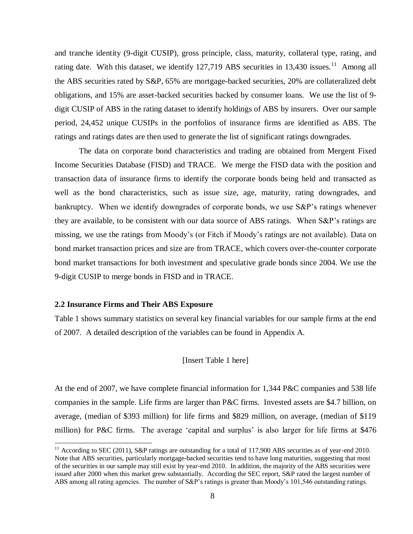and tranche identity (9-digit CUSIP), gross principle, class, maturity, collateral type, rating, and rating date. With this dataset, we identify  $127,719$  ABS securities in  $13,430$  issues.<sup>11</sup> Among all the ABS securities rated by S&P, 65% are mortgage-backed securities, 20% are collateralized debt obligations, and 15% are asset-backed securities backed by consumer loans. We use the list of 9 digit CUSIP of ABS in the rating dataset to identify holdings of ABS by insurers. Over our sample period, 24,452 unique CUSIPs in the portfolios of insurance firms are identified as ABS. The ratings and ratings dates are then used to generate the list of significant ratings downgrades.

The data on corporate bond characteristics and trading are obtained from Mergent Fixed Income Securities Database (FISD) and TRACE. We merge the FISD data with the position and transaction data of insurance firms to identify the corporate bonds being held and transacted as well as the bond characteristics, such as issue size, age, maturity, rating downgrades, and bankruptcy. When we identify downgrades of corporate bonds, we use S&P's ratings whenever they are available, to be consistent with our data source of ABS ratings. When S&P's ratings are missing, we use the ratings from Moody's (or Fitch if Moody's ratings are not available). Data on bond market transaction prices and size are from TRACE, which covers over-the-counter corporate bond market transactions for both investment and speculative grade bonds since 2004. We use the 9-digit CUSIP to merge bonds in FISD and in TRACE.

### **2.2 Insurance Firms and Their ABS Exposure**

 $\overline{a}$ 

Table 1 shows summary statistics on several key financial variables for our sample firms at the end of 2007. A detailed description of the variables can be found in Appendix A.

### [Insert Table 1 here]

At the end of 2007, we have complete financial information for 1,344 P&C companies and 538 life companies in the sample. Life firms are larger than P&C firms. Invested assets are \$4.7 billion, on average, (median of \$393 million) for life firms and \$829 million, on average, (median of \$119 million) for P&C firms. The average 'capital and surplus' is also larger for life firms at \$476

 $11$  According to SEC (2011), S&P ratings are outstanding for a total of 117,900 ABS securities as of year-end 2010. Note that ABS securities, particularly mortgage-backed securities tend to have long maturities, suggesting that most of the securities in our sample may still exist by year-end 2010. In addition, the majority of the ABS securities were issued after 2000 when this market grew substantially. According the SEC report, S&P rated the largest number of ABS among all rating agencies. The number of S&P's ratings is greater than Moody's 101,546 outstanding ratings.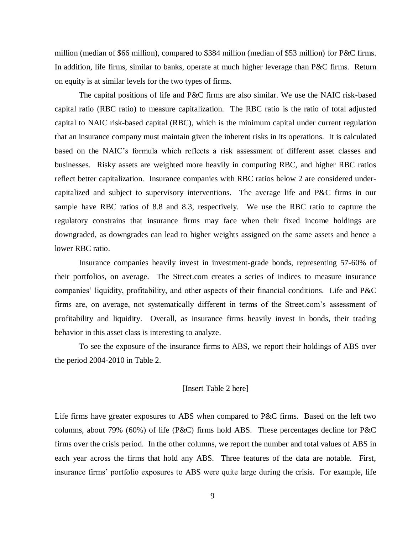million (median of \$66 million), compared to \$384 million (median of \$53 million) for P&C firms. In addition, life firms, similar to banks, operate at much higher leverage than P&C firms. Return on equity is at similar levels for the two types of firms.

The capital positions of life and P&C firms are also similar. We use the NAIC risk-based capital ratio (RBC ratio) to measure capitalization. The RBC ratio is the ratio of total adjusted capital to NAIC risk-based capital (RBC), which is the minimum capital under current regulation that an insurance company must maintain given the inherent risks in its operations. It is calculated based on the NAIC's formula which reflects a risk assessment of different asset classes and businesses. Risky assets are weighted more heavily in computing RBC, and higher RBC ratios reflect better capitalization. Insurance companies with RBC ratios below 2 are considered undercapitalized and subject to supervisory interventions. The average life and P&C firms in our sample have RBC ratios of 8.8 and 8.3, respectively. We use the RBC ratio to capture the regulatory constrains that insurance firms may face when their fixed income holdings are downgraded, as downgrades can lead to higher weights assigned on the same assets and hence a lower RBC ratio.

Insurance companies heavily invest in investment-grade bonds, representing 57-60% of their portfolios, on average. The Street.com creates a series of indices to measure insurance companies' liquidity, profitability, and other aspects of their financial conditions. Life and P&C firms are, on average, not systematically different in terms of the Street.com's assessment of profitability and liquidity. Overall, as insurance firms heavily invest in bonds, their trading behavior in this asset class is interesting to analyze.

To see the exposure of the insurance firms to ABS, we report their holdings of ABS over the period 2004-2010 in Table 2.

#### [Insert Table 2 here]

Life firms have greater exposures to ABS when compared to P&C firms. Based on the left two columns, about 79% (60%) of life (P&C) firms hold ABS. These percentages decline for P&C firms over the crisis period. In the other columns, we report the number and total values of ABS in each year across the firms that hold any ABS. Three features of the data are notable. First, insurance firms' portfolio exposures to ABS were quite large during the crisis. For example, life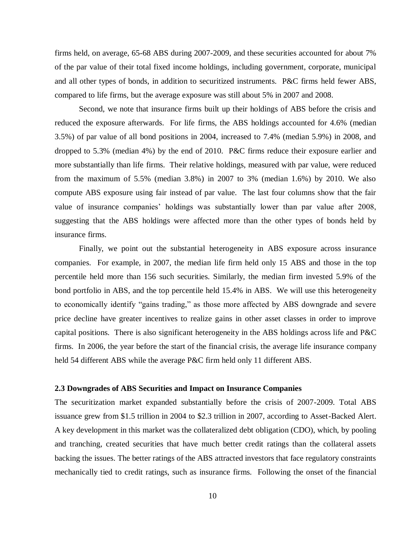firms held, on average, 65-68 ABS during 2007-2009, and these securities accounted for about 7% of the par value of their total fixed income holdings, including government, corporate, municipal and all other types of bonds, in addition to securitized instruments. P&C firms held fewer ABS, compared to life firms, but the average exposure was still about 5% in 2007 and 2008.

Second, we note that insurance firms built up their holdings of ABS before the crisis and reduced the exposure afterwards. For life firms, the ABS holdings accounted for 4.6% (median 3.5%) of par value of all bond positions in 2004, increased to 7.4% (median 5.9%) in 2008, and dropped to 5.3% (median 4%) by the end of 2010. P&C firms reduce their exposure earlier and more substantially than life firms. Their relative holdings, measured with par value, were reduced from the maximum of 5.5% (median 3.8%) in 2007 to 3% (median 1.6%) by 2010. We also compute ABS exposure using fair instead of par value. The last four columns show that the fair value of insurance companies' holdings was substantially lower than par value after 2008, suggesting that the ABS holdings were affected more than the other types of bonds held by insurance firms.

Finally, we point out the substantial heterogeneity in ABS exposure across insurance companies. For example, in 2007, the median life firm held only 15 ABS and those in the top percentile held more than 156 such securities. Similarly, the median firm invested 5.9% of the bond portfolio in ABS, and the top percentile held 15.4% in ABS. We will use this heterogeneity to economically identify "gains trading," as those more affected by ABS downgrade and severe price decline have greater incentives to realize gains in other asset classes in order to improve capital positions. There is also significant heterogeneity in the ABS holdings across life and P&C firms. In 2006, the year before the start of the financial crisis, the average life insurance company held 54 different ABS while the average P&C firm held only 11 different ABS.

### **2.3 Downgrades of ABS Securities and Impact on Insurance Companies**

The securitization market expanded substantially before the crisis of 2007-2009. Total ABS issuance grew from \$1.5 trillion in 2004 to \$2.3 trillion in 2007, according to Asset-Backed Alert. A key development in this market was the collateralized debt obligation (CDO), which, by pooling and tranching, created securities that have much better credit ratings than the collateral assets backing the issues. The better ratings of the ABS attracted investors that face regulatory constraints mechanically tied to credit ratings, such as insurance firms. Following the onset of the financial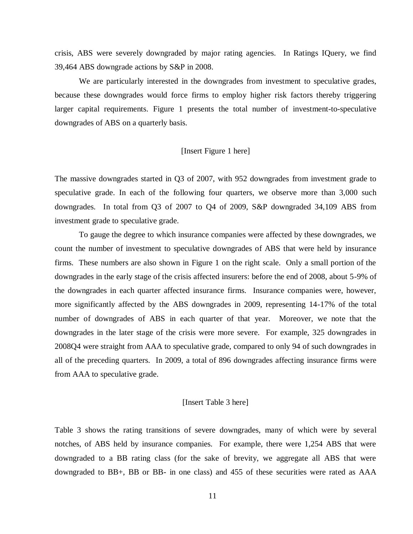crisis, ABS were severely downgraded by major rating agencies. In Ratings IQuery, we find 39,464 ABS downgrade actions by S&P in 2008.

We are particularly interested in the downgrades from investment to speculative grades, because these downgrades would force firms to employ higher risk factors thereby triggering larger capital requirements. Figure 1 presents the total number of investment-to-speculative downgrades of ABS on a quarterly basis.

## [Insert Figure 1 here]

The massive downgrades started in Q3 of 2007, with 952 downgrades from investment grade to speculative grade. In each of the following four quarters, we observe more than 3,000 such downgrades. In total from Q3 of 2007 to Q4 of 2009, S&P downgraded 34,109 ABS from investment grade to speculative grade.

To gauge the degree to which insurance companies were affected by these downgrades, we count the number of investment to speculative downgrades of ABS that were held by insurance firms. These numbers are also shown in Figure 1 on the right scale. Only a small portion of the downgrades in the early stage of the crisis affected insurers: before the end of 2008, about 5-9% of the downgrades in each quarter affected insurance firms. Insurance companies were, however, more significantly affected by the ABS downgrades in 2009, representing 14-17% of the total number of downgrades of ABS in each quarter of that year. Moreover, we note that the downgrades in the later stage of the crisis were more severe. For example, 325 downgrades in 2008Q4 were straight from AAA to speculative grade, compared to only 94 of such downgrades in all of the preceding quarters. In 2009, a total of 896 downgrades affecting insurance firms were from AAA to speculative grade.

### [Insert Table 3 here]

Table 3 shows the rating transitions of severe downgrades, many of which were by several notches, of ABS held by insurance companies. For example, there were 1,254 ABS that were downgraded to a BB rating class (for the sake of brevity, we aggregate all ABS that were downgraded to BB+, BB or BB- in one class) and 455 of these securities were rated as AAA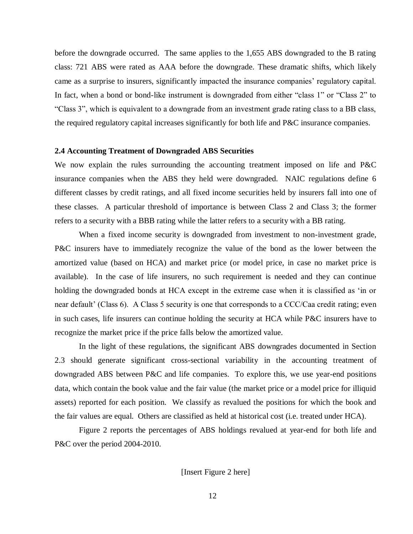before the downgrade occurred. The same applies to the 1,655 ABS downgraded to the B rating class: 721 ABS were rated as AAA before the downgrade. These dramatic shifts, which likely came as a surprise to insurers, significantly impacted the insurance companies' regulatory capital. In fact, when a bond or bond-like instrument is downgraded from either "class 1" or "Class 2" to "Class 3", which is equivalent to a downgrade from an investment grade rating class to a BB class, the required regulatory capital increases significantly for both life and P&C insurance companies.

### **2.4 Accounting Treatment of Downgraded ABS Securities**

We now explain the rules surrounding the accounting treatment imposed on life and P&C insurance companies when the ABS they held were downgraded. NAIC regulations define 6 different classes by credit ratings, and all fixed income securities held by insurers fall into one of these classes. A particular threshold of importance is between Class 2 and Class 3; the former refers to a security with a BBB rating while the latter refers to a security with a BB rating.

When a fixed income security is downgraded from investment to non-investment grade, P&C insurers have to immediately recognize the value of the bond as the lower between the amortized value (based on HCA) and market price (or model price, in case no market price is available). In the case of life insurers, no such requirement is needed and they can continue holding the downgraded bonds at HCA except in the extreme case when it is classified as 'in or near default' (Class 6). A Class 5 security is one that corresponds to a CCC/Caa credit rating; even in such cases, life insurers can continue holding the security at HCA while P&C insurers have to recognize the market price if the price falls below the amortized value.

In the light of these regulations, the significant ABS downgrades documented in Section 2.3 should generate significant cross-sectional variability in the accounting treatment of downgraded ABS between P&C and life companies. To explore this, we use year-end positions data, which contain the book value and the fair value (the market price or a model price for illiquid assets) reported for each position. We classify as revalued the positions for which the book and the fair values are equal. Others are classified as held at historical cost (i.e. treated under HCA).

Figure 2 reports the percentages of ABS holdings revalued at year-end for both life and P&C over the period 2004-2010.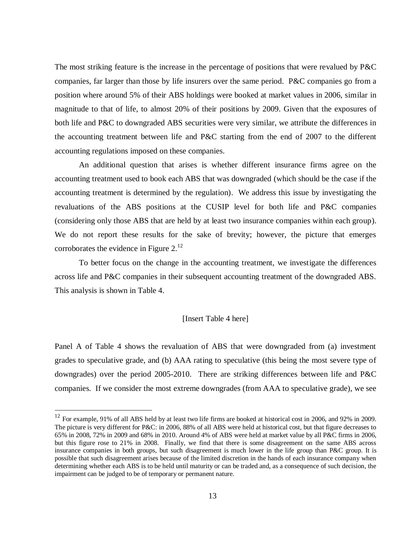The most striking feature is the increase in the percentage of positions that were revalued by P&C companies, far larger than those by life insurers over the same period. P&C companies go from a position where around 5% of their ABS holdings were booked at market values in 2006, similar in magnitude to that of life, to almost 20% of their positions by 2009. Given that the exposures of both life and P&C to downgraded ABS securities were very similar, we attribute the differences in the accounting treatment between life and P&C starting from the end of 2007 to the different accounting regulations imposed on these companies.

An additional question that arises is whether different insurance firms agree on the accounting treatment used to book each ABS that was downgraded (which should be the case if the accounting treatment is determined by the regulation). We address this issue by investigating the revaluations of the ABS positions at the CUSIP level for both life and P&C companies (considering only those ABS that are held by at least two insurance companies within each group). We do not report these results for the sake of brevity; however, the picture that emerges corroborates the evidence in Figure  $2^{12}$ .

To better focus on the change in the accounting treatment, we investigate the differences across life and P&C companies in their subsequent accounting treatment of the downgraded ABS. This analysis is shown in Table 4.

# [Insert Table 4 here]

Panel A of Table 4 shows the revaluation of ABS that were downgraded from (a) investment grades to speculative grade, and (b) AAA rating to speculative (this being the most severe type of downgrades) over the period 2005-2010. There are striking differences between life and P&C companies. If we consider the most extreme downgrades (from AAA to speculative grade), we see

 $12$  For example, 91% of all ABS held by at least two life firms are booked at historical cost in 2006, and 92% in 2009. The picture is very different for P&C: in 2006, 88% of all ABS were held at historical cost, but that figure decreases to 65% in 2008, 72% in 2009 and 68% in 2010. Around 4% of ABS were held at market value by all P&C firms in 2006, but this figure rose to 21% in 2008. Finally, we find that there is some disagreement on the same ABS across insurance companies in both groups, but such disagreement is much lower in the life group than P&C group. It is possible that such disagreement arises because of the limited discretion in the hands of each insurance company when determining whether each ABS is to be held until maturity or can be traded and, as a consequence of such decision, the impairment can be judged to be of temporary or permanent nature.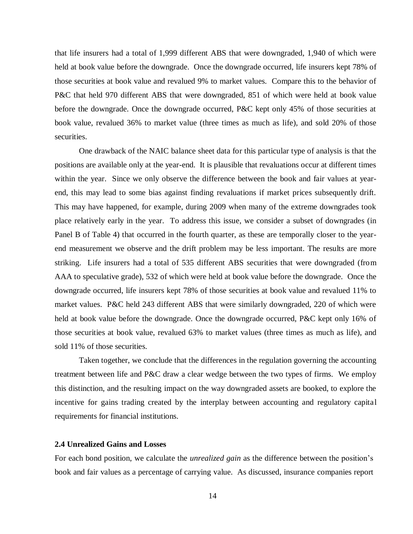that life insurers had a total of 1,999 different ABS that were downgraded, 1,940 of which were held at book value before the downgrade. Once the downgrade occurred, life insurers kept 78% of those securities at book value and revalued 9% to market values. Compare this to the behavior of P&C that held 970 different ABS that were downgraded, 851 of which were held at book value before the downgrade. Once the downgrade occurred, P&C kept only 45% of those securities at book value, revalued 36% to market value (three times as much as life), and sold 20% of those securities.

One drawback of the NAIC balance sheet data for this particular type of analysis is that the positions are available only at the year-end. It is plausible that revaluations occur at different times within the year. Since we only observe the difference between the book and fair values at yearend, this may lead to some bias against finding revaluations if market prices subsequently drift. This may have happened, for example, during 2009 when many of the extreme downgrades took place relatively early in the year. To address this issue, we consider a subset of downgrades (in Panel B of Table 4) that occurred in the fourth quarter, as these are temporally closer to the yearend measurement we observe and the drift problem may be less important. The results are more striking. Life insurers had a total of 535 different ABS securities that were downgraded (from AAA to speculative grade), 532 of which were held at book value before the downgrade. Once the downgrade occurred, life insurers kept 78% of those securities at book value and revalued 11% to market values. P&C held 243 different ABS that were similarly downgraded, 220 of which were held at book value before the downgrade. Once the downgrade occurred, P&C kept only 16% of those securities at book value, revalued 63% to market values (three times as much as life), and sold 11% of those securities.

Taken together, we conclude that the differences in the regulation governing the accounting treatment between life and P&C draw a clear wedge between the two types of firms. We employ this distinction, and the resulting impact on the way downgraded assets are booked, to explore the incentive for gains trading created by the interplay between accounting and regulatory capital requirements for financial institutions.

### **2.4 Unrealized Gains and Losses**

For each bond position, we calculate the *unrealized gain* as the difference between the position's book and fair values as a percentage of carrying value. As discussed, insurance companies report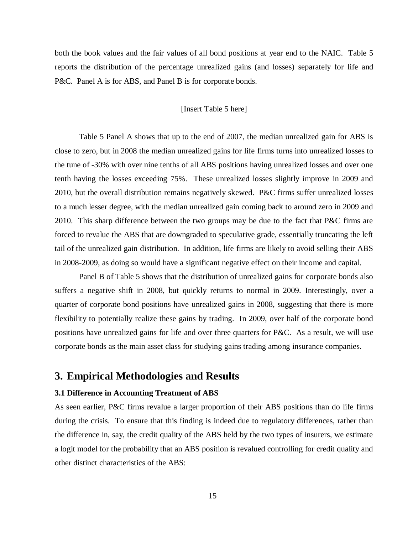both the book values and the fair values of all bond positions at year end to the NAIC. Table 5 reports the distribution of the percentage unrealized gains (and losses) separately for life and P&C. Panel A is for ABS, and Panel B is for corporate bonds.

## [Insert Table 5 here]

Table 5 Panel A shows that up to the end of 2007, the median unrealized gain for ABS is close to zero, but in 2008 the median unrealized gains for life firms turns into unrealized losses to the tune of -30% with over nine tenths of all ABS positions having unrealized losses and over one tenth having the losses exceeding 75%. These unrealized losses slightly improve in 2009 and 2010, but the overall distribution remains negatively skewed. P&C firms suffer unrealized losses to a much lesser degree, with the median unrealized gain coming back to around zero in 2009 and 2010. This sharp difference between the two groups may be due to the fact that P&C firms are forced to revalue the ABS that are downgraded to speculative grade, essentially truncating the left tail of the unrealized gain distribution. In addition, life firms are likely to avoid selling their ABS in 2008-2009, as doing so would have a significant negative effect on their income and capital.

Panel B of Table 5 shows that the distribution of unrealized gains for corporate bonds also suffers a negative shift in 2008, but quickly returns to normal in 2009. Interestingly, over a quarter of corporate bond positions have unrealized gains in 2008, suggesting that there is more flexibility to potentially realize these gains by trading. In 2009, over half of the corporate bond positions have unrealized gains for life and over three quarters for P&C. As a result, we will use corporate bonds as the main asset class for studying gains trading among insurance companies.

# **3. Empirical Methodologies and Results**

### **3.1 Difference in Accounting Treatment of ABS**

As seen earlier, P&C firms revalue a larger proportion of their ABS positions than do life firms during the crisis. To ensure that this finding is indeed due to regulatory differences, rather than the difference in, say, the credit quality of the ABS held by the two types of insurers, we estimate a logit model for the probability that an ABS position is revalued controlling for credit quality and other distinct characteristics of the ABS: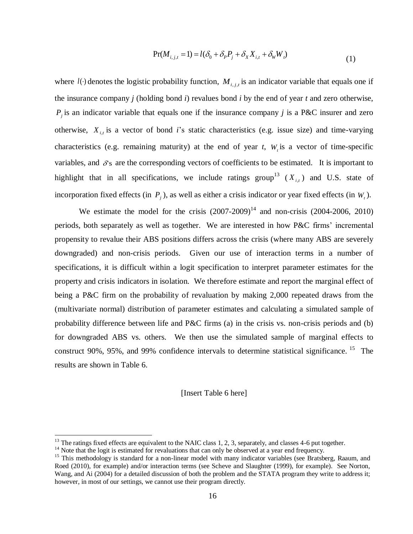$$
Pr(M_{i,j,t} = 1) = l(\delta_0 + \delta_P P_j + \delta_X X_{i,t} + \delta_W W_t)
$$
\n(1)

where  $l(\cdot)$  denotes the logistic probability function,  $M_{i,j,t}$  is an indicator variable that equals one if the insurance company *j* (holding bond *i*) revalues bond *i* by the end of year *t* and zero otherwise,  $P_j$  is an indicator variable that equals one if the insurance company *j* is a P&C insurer and zero otherwise,  $X_{i,t}$  is a vector of bond *i*'s static characteristics (e.g. issue size) and time-varying characteristics (e.g. remaining maturity) at the end of year  $t$ ,  $W<sub>t</sub>$  is a vector of time-specific variables, and  $\delta$ 's are the corresponding vectors of coefficients to be estimated. It is important to highlight that in all specifications, we include ratings group<sup>13</sup>  $(X_{i,t})$  and U.S. state of incorporation fixed effects (in  $P_j$ ), as well as either a crisis indicator or year fixed effects (in  $W_t$ ).

Pr( $M_{i,j,t} = 1$ ) =  $l(\delta_0 + \delta_\rho P_j + \delta_X X_{i,t} + \delta_w W_s)$ <br>probability function,  $M_{i,j,t}$  is an indicator<br>ing bond *i*) revalues bond *i* by the end of<br>equals one if the insurance company *j*<br>bond *i*'s static characteristics (e.g. We estimate the model for the crisis  $(2007-2009)^{14}$  and non-crisis  $(2004-2006, 2010)$ periods, both separately as well as together. We are interested in how P&C firms' incremental propensity to revalue their ABS positions differs across the crisis (where many ABS are severely downgraded) and non-crisis periods. Given our use of interaction terms in a number of specifications, it is difficult within a logit specification to interpret parameter estimates for the property and crisis indicators in isolation. We therefore estimate and report the marginal effect of being a P&C firm on the probability of revaluation by making 2,000 repeated draws from the (multivariate normal) distribution of parameter estimates and calculating a simulated sample of probability difference between life and P&C firms (a) in the crisis vs. non-crisis periods and (b) for downgraded ABS vs. others. We then use the simulated sample of marginal effects to construct 90%, 95%, and 99% confidence intervals to determine statistical significance. <sup>15</sup> The results are shown in Table 6.

[Insert Table 6 here]

<sup>&</sup>lt;sup>13</sup> The ratings fixed effects are equivalent to the NAIC class 1, 2, 3, separately, and classes 4-6 put together.

<sup>&</sup>lt;sup>14</sup> Note that the logit is estimated for revaluations that can only be observed at a year end frequency.

<sup>&</sup>lt;sup>15</sup> This methodology is standard for a non-linear model with many indicator variables (see Bratsberg, Raaum, and Roed (2010), for example) and/or interaction terms (see Scheve and Slaughter (1999), for example). See Norton, Wang, and Ai (2004) for a detailed discussion of both the problem and the STATA program they write to address it; however, in most of our settings, we cannot use their program directly.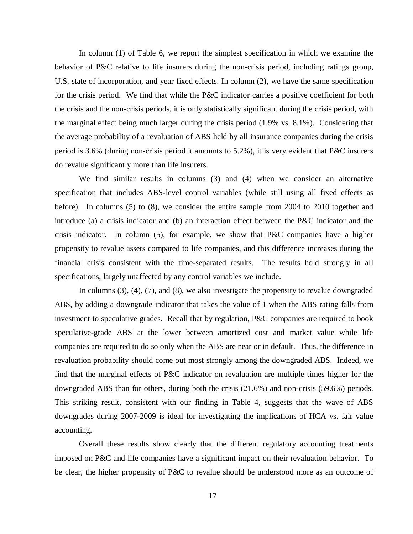In column (1) of Table 6, we report the simplest specification in which we examine the behavior of P&C relative to life insurers during the non-crisis period, including ratings group, U.S. state of incorporation, and year fixed effects. In column (2), we have the same specification for the crisis period. We find that while the P&C indicator carries a positive coefficient for both the crisis and the non-crisis periods, it is only statistically significant during the crisis period, with the marginal effect being much larger during the crisis period (1.9% vs. 8.1%). Considering that the average probability of a revaluation of ABS held by all insurance companies during the crisis period is 3.6% (during non-crisis period it amounts to 5.2%), it is very evident that P&C insurers do revalue significantly more than life insurers.

We find similar results in columns (3) and (4) when we consider an alternative specification that includes ABS-level control variables (while still using all fixed effects as before). In columns (5) to (8), we consider the entire sample from 2004 to 2010 together and introduce (a) a crisis indicator and (b) an interaction effect between the P&C indicator and the crisis indicator. In column (5), for example, we show that P&C companies have a higher propensity to revalue assets compared to life companies, and this difference increases during the financial crisis consistent with the time-separated results. The results hold strongly in all specifications, largely unaffected by any control variables we include.

In columns (3), (4), (7), and (8), we also investigate the propensity to revalue downgraded ABS, by adding a downgrade indicator that takes the value of 1 when the ABS rating falls from investment to speculative grades. Recall that by regulation, P&C companies are required to book speculative-grade ABS at the lower between amortized cost and market value while life companies are required to do so only when the ABS are near or in default. Thus, the difference in revaluation probability should come out most strongly among the downgraded ABS. Indeed, we find that the marginal effects of P&C indicator on revaluation are multiple times higher for the downgraded ABS than for others, during both the crisis (21.6%) and non-crisis (59.6%) periods. This striking result, consistent with our finding in Table 4, suggests that the wave of ABS downgrades during 2007-2009 is ideal for investigating the implications of HCA vs. fair value accounting.

Overall these results show clearly that the different regulatory accounting treatments imposed on P&C and life companies have a significant impact on their revaluation behavior. To be clear, the higher propensity of P&C to revalue should be understood more as an outcome of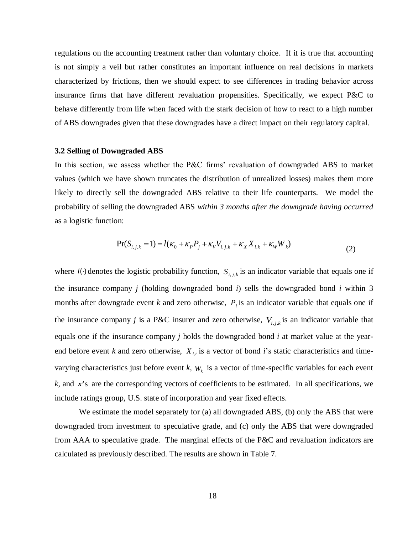regulations on the accounting treatment rather than voluntary choice. If it is true that accounting is not simply a veil but rather constitutes an important influence on real decisions in markets characterized by frictions, then we should expect to see differences in trading behavior across insurance firms that have different revaluation propensities. Specifically, we expect P&C to behave differently from life when faced with the stark decision of how to react to a high number of ABS downgrades given that these downgrades have a direct impact on their regulatory capital.

### **3.2 Selling of Downgraded ABS**

In this section, we assess whether the P&C firms' revaluation of downgraded ABS to market values (which we have shown truncates the distribution of unrealized losses) makes them more likely to directly sell the downgraded ABS relative to their life counterparts. We model the probability of selling the downgraded ABS *within 3 months after the downgrade having occurred* as a logistic function:

$$
Pr(S_{i,j,k} = 1) = l(\kappa_0 + \kappa_P P_j + \kappa_V V_{i,j,k} + \kappa_X X_{i,k} + \kappa_W W_k)
$$
\n(2)

where  $l(\cdot)$  denotes the logistic probability function,  $S_{i,j,k}$  is an indicator variable that equals one if the insurance company *j* (holding downgraded bond *i*) sells the downgraded bond *i* within 3 months after downgrade event *k* and zero otherwise,  $P_j$  is an indicator variable that equals one if the insurance company *j* is a P&C insurer and zero otherwise,  $V_{i,j,k}$  is an indicator variable that equals one if the insurance company *j* holds the downgraded bond *i* at market value at the yearend before event *k* and zero otherwise,  $X_{i,t}$  is a vector of bond *i*'s static characteristics and timevarying characteristics just before event *k*, *W<sup>k</sup>* is a vector of time-specific variables for each event  $k$ , and  $\kappa$ 's are the corresponding vectors of coefficients to be estimated. In all specifications, we include ratings group, U.S. state of incorporation and year fixed effects.

We estimate the model separately for (a) all downgraded ABS, (b) only the ABS that were downgraded from investment to speculative grade, and (c) only the ABS that were downgraded from AAA to speculative grade. The marginal effects of the P&C and revaluation indicators are calculated as previously described. The results are shown in Table 7.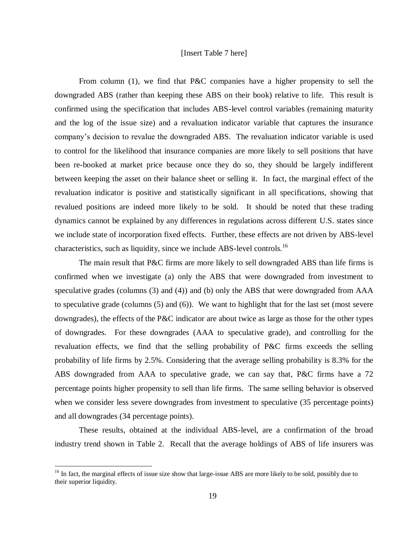## [Insert Table 7 here]

From column (1), we find that P&C companies have a higher propensity to sell the downgraded ABS (rather than keeping these ABS on their book) relative to life. This result is confirmed using the specification that includes ABS-level control variables (remaining maturity and the log of the issue size) and a revaluation indicator variable that captures the insurance company's decision to revalue the downgraded ABS. The revaluation indicator variable is used to control for the likelihood that insurance companies are more likely to sell positions that have been re-booked at market price because once they do so, they should be largely indifferent between keeping the asset on their balance sheet or selling it. In fact, the marginal effect of the revaluation indicator is positive and statistically significant in all specifications, showing that revalued positions are indeed more likely to be sold. It should be noted that these trading dynamics cannot be explained by any differences in regulations across different U.S. states since we include state of incorporation fixed effects. Further, these effects are not driven by ABS-level characteristics, such as liquidity, since we include ABS-level controls.<sup>16</sup>

The main result that P&C firms are more likely to sell downgraded ABS than life firms is confirmed when we investigate (a) only the ABS that were downgraded from investment to speculative grades (columns (3) and (4)) and (b) only the ABS that were downgraded from AAA to speculative grade (columns (5) and (6)). We want to highlight that for the last set (most severe downgrades), the effects of the P&C indicator are about twice as large as those for the other types of downgrades. For these downgrades (AAA to speculative grade), and controlling for the revaluation effects, we find that the selling probability of P&C firms exceeds the selling probability of life firms by 2.5%. Considering that the average selling probability is 8.3% for the ABS downgraded from AAA to speculative grade, we can say that, P&C firms have a 72 percentage points higher propensity to sell than life firms. The same selling behavior is observed when we consider less severe downgrades from investment to speculative  $(35)$  percentage points) and all downgrades (34 percentage points).

These results, obtained at the individual ABS-level, are a confirmation of the broad industry trend shown in Table 2. Recall that the average holdings of ABS of life insurers was

<sup>&</sup>lt;sup>16</sup> In fact, the marginal effects of issue size show that large-issue ABS are more likely to be sold, possibly due to their superior liquidity.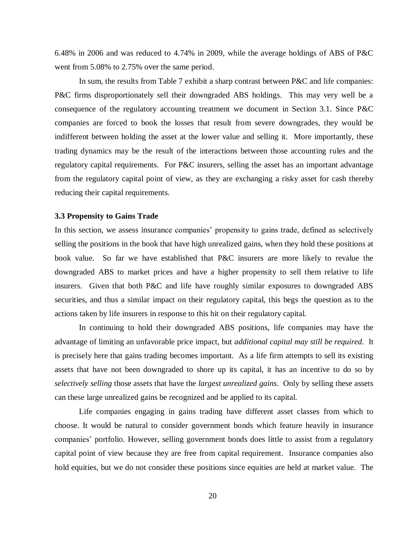6.48% in 2006 and was reduced to 4.74% in 2009, while the average holdings of ABS of P&C went from 5.08% to 2.75% over the same period.

In sum, the results from Table 7 exhibit a sharp contrast between P&C and life companies: P&C firms disproportionately sell their downgraded ABS holdings. This may very well be a consequence of the regulatory accounting treatment we document in Section 3.1. Since P&C companies are forced to book the losses that result from severe downgrades, they would be indifferent between holding the asset at the lower value and selling it. More importantly, these trading dynamics may be the result of the interactions between those accounting rules and the regulatory capital requirements. For P&C insurers, selling the asset has an important advantage from the regulatory capital point of view, as they are exchanging a risky asset for cash thereby reducing their capital requirements.

### **3.3 Propensity to Gains Trade**

In this section, we assess insurance companies' propensity to gains trade, defined as selectively selling the positions in the book that have high unrealized gains, when they hold these positions at book value. So far we have established that P&C insurers are more likely to revalue the downgraded ABS to market prices and have a higher propensity to sell them relative to life insurers. Given that both P&C and life have roughly similar exposures to downgraded ABS securities, and thus a similar impact on their regulatory capital, this begs the question as to the actions taken by life insurers in response to this hit on their regulatory capital.

In continuing to hold their downgraded ABS positions, life companies may have the advantage of limiting an unfavorable price impact, but *additional capital may still be required*. It is precisely here that gains trading becomes important. As a life firm attempts to sell its existing assets that have not been downgraded to shore up its capital, it has an incentive to do so by *selectively selling* those assets that have the *largest unrealized gains*. Only by selling these assets can these large unrealized gains be recognized and be applied to its capital.

Life companies engaging in gains trading have different asset classes from which to choose. It would be natural to consider government bonds which feature heavily in insurance companies' portfolio. However, selling government bonds does little to assist from a regulatory capital point of view because they are free from capital requirement. Insurance companies also hold equities, but we do not consider these positions since equities are held at market value. The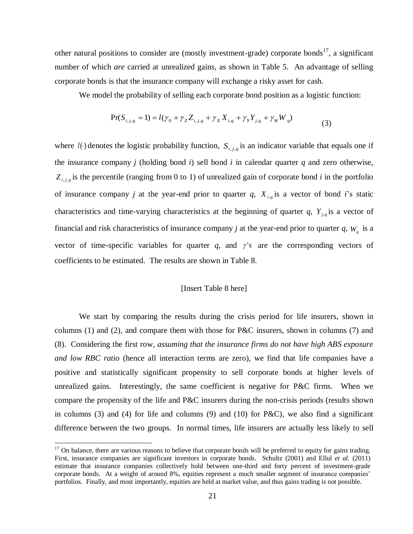other natural positions to consider are (mostly investment-grade) corporate bonds<sup>17</sup>, a significant number of which *are* carried at unrealized gains, as shown in Table 5. An advantage of selling corporate bonds is that the insurance company will exchange a risky asset for cash.

We model the probability of selling each corporate bond position as a logistic function:

$$
Pr(S_{i,j,q} = 1) = l(\gamma_0 + \gamma_Z Z_{i,j,q} + \gamma_X X_{i,q} + \gamma_Y Y_{j,q} + \gamma_W W_q)
$$
\n(3)

where  $l(\cdot)$  denotes the logistic probability function,  $S_{i,j,q}$  is an indicator variable that equals one if the insurance company *j* (holding bond *i*) sell bond *i* in calendar quarter *q* and zero otherwise,  $Z_{i,j,q}$  is the percentile (ranging from 0 to 1) of unrealized gain of corporate bond *i* in the portfolio of insurance company *j* at the year-end prior to quarter *q*,  $X_{i,q}$  is a vector of bond *i*'s static characteristics and time-varying characteristics at the beginning of quarter *q*, *Yj*,*<sup>q</sup>* is a vector of financial and risk characteristics of insurance company *j* at the year-end prior to quarter  $q$ ,  $W_q$  is a vector of time-specific variables for quarter  $q$ , and  $\gamma$ 's are the corresponding vectors of coefficients to be estimated. The results are shown in Table 8.

### [Insert Table 8 here]

We start by comparing the results during the crisis period for life insurers, shown in columns (1) and (2), and compare them with those for P&C insurers, shown in columns (7) and (8). Considering the first row, *assuming that the insurance firms do not have high ABS exposure and low RBC ratio* (hence all interaction terms are zero), we find that life companies have a positive and statistically significant propensity to sell corporate bonds at higher levels of unrealized gains. Interestingly, the same coefficient is negative for P&C firms. When we compare the propensity of the life and P&C insurers during the non-crisis periods (results shown in columns  $(3)$  and  $(4)$  for life and columns  $(9)$  and  $(10)$  for P&C), we also find a significant difference between the two groups. In normal times, life insurers are actually less likely to sell

 $17$  On balance, there are various reasons to believe that corporate bonds will be preferred to equity for gains trading. First, insurance companies are significant investors in corporate bonds. Schultz (2001) and Ellul *et al.* (2011) estimate that insurance companies collectively hold between one-third and forty percent of investment-grade corporate bonds. At a weight of around 8%, equities represent a much smaller segment of insurance companies' portfolios. Finally, and most importantly, equities are held at market value, and thus gains trading is not possible.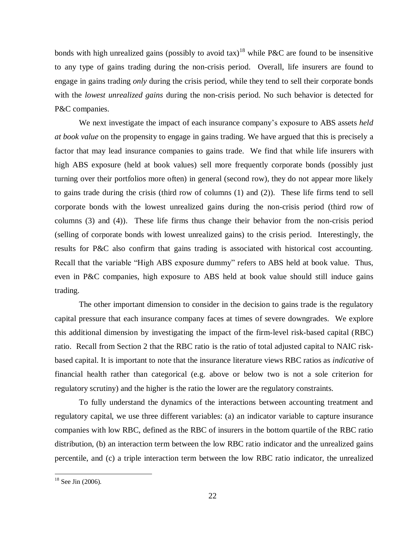bonds with high unrealized gains (possibly to avoid tax)<sup>18</sup> while P&C are found to be insensitive to any type of gains trading during the non-crisis period. Overall, life insurers are found to engage in gains trading *only* during the crisis period, while they tend to sell their corporate bonds with the *lowest unrealized gains* during the non-crisis period. No such behavior is detected for P&C companies.

We next investigate the impact of each insurance company's exposure to ABS assets *held at book value* on the propensity to engage in gains trading. We have argued that this is precisely a factor that may lead insurance companies to gains trade. We find that while life insurers with high ABS exposure (held at book values) sell more frequently corporate bonds (possibly just turning over their portfolios more often) in general (second row), they do not appear more likely to gains trade during the crisis (third row of columns (1) and (2)). These life firms tend to sell corporate bonds with the lowest unrealized gains during the non-crisis period (third row of columns (3) and (4)). These life firms thus change their behavior from the non-crisis period (selling of corporate bonds with lowest unrealized gains) to the crisis period. Interestingly, the results for P&C also confirm that gains trading is associated with historical cost accounting. Recall that the variable "High ABS exposure dummy" refers to ABS held at book value. Thus, even in P&C companies, high exposure to ABS held at book value should still induce gains trading.

The other important dimension to consider in the decision to gains trade is the regulatory capital pressure that each insurance company faces at times of severe downgrades. We explore this additional dimension by investigating the impact of the firm-level risk-based capital (RBC) ratio. Recall from Section 2 that the RBC ratio is the ratio of total adjusted capital to NAIC riskbased capital. It is important to note that the insurance literature views RBC ratios as *indicative* of financial health rather than categorical (e.g. above or below two is not a sole criterion for regulatory scrutiny) and the higher is the ratio the lower are the regulatory constraints.

To fully understand the dynamics of the interactions between accounting treatment and regulatory capital, we use three different variables: (a) an indicator variable to capture insurance companies with low RBC, defined as the RBC of insurers in the bottom quartile of the RBC ratio distribution, (b) an interaction term between the low RBC ratio indicator and the unrealized gains percentile, and (c) a triple interaction term between the low RBC ratio indicator, the unrealized

 $18$  See Jin (2006).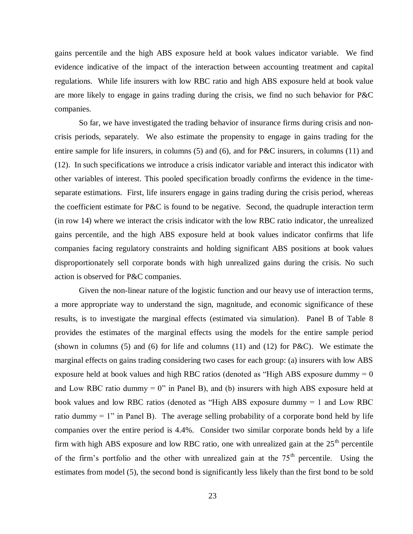gains percentile and the high ABS exposure held at book values indicator variable. We find evidence indicative of the impact of the interaction between accounting treatment and capital regulations. While life insurers with low RBC ratio and high ABS exposure held at book value are more likely to engage in gains trading during the crisis, we find no such behavior for P&C companies.

So far, we have investigated the trading behavior of insurance firms during crisis and noncrisis periods, separately. We also estimate the propensity to engage in gains trading for the entire sample for life insurers, in columns (5) and (6), and for P&C insurers, in columns (11) and (12). In such specifications we introduce a crisis indicator variable and interact this indicator with other variables of interest. This pooled specification broadly confirms the evidence in the timeseparate estimations. First, life insurers engage in gains trading during the crisis period, whereas the coefficient estimate for P&C is found to be negative. Second, the quadruple interaction term (in row 14) where we interact the crisis indicator with the low RBC ratio indicator, the unrealized gains percentile, and the high ABS exposure held at book values indicator confirms that life companies facing regulatory constraints and holding significant ABS positions at book values disproportionately sell corporate bonds with high unrealized gains during the crisis. No such action is observed for P&C companies.

Given the non-linear nature of the logistic function and our heavy use of interaction terms, a more appropriate way to understand the sign, magnitude, and economic significance of these results, is to investigate the marginal effects (estimated via simulation). Panel B of Table 8 provides the estimates of the marginal effects using the models for the entire sample period (shown in columns (5) and (6) for life and columns (11) and (12) for P&C). We estimate the marginal effects on gains trading considering two cases for each group: (a) insurers with low ABS exposure held at book values and high RBC ratios (denoted as "High ABS exposure dummy = 0 and Low RBC ratio dummy  $= 0$ " in Panel B), and (b) insurers with high ABS exposure held at book values and low RBC ratios (denoted as "High ABS exposure dummy = 1 and Low RBC ratio dummy  $= 1$ " in Panel B). The average selling probability of a corporate bond held by life companies over the entire period is 4.4%. Consider two similar corporate bonds held by a life firm with high ABS exposure and low RBC ratio, one with unrealized gain at the  $25<sup>th</sup>$  percentile of the firm's portfolio and the other with unrealized gain at the  $75<sup>th</sup>$  percentile. Using the estimates from model (5), the second bond is significantly less likely than the first bond to be sold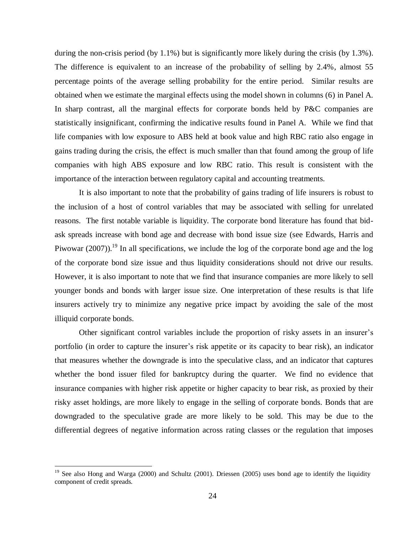during the non-crisis period (by  $1.1\%$ ) but is significantly more likely during the crisis (by 1.3%). The difference is equivalent to an increase of the probability of selling by 2.4%, almost 55 percentage points of the average selling probability for the entire period. Similar results are obtained when we estimate the marginal effects using the model shown in columns (6) in Panel A. In sharp contrast, all the marginal effects for corporate bonds held by P&C companies are statistically insignificant, confirming the indicative results found in Panel A. While we find that life companies with low exposure to ABS held at book value and high RBC ratio also engage in gains trading during the crisis, the effect is much smaller than that found among the group of life companies with high ABS exposure and low RBC ratio. This result is consistent with the importance of the interaction between regulatory capital and accounting treatments.

It is also important to note that the probability of gains trading of life insurers is robust to the inclusion of a host of control variables that may be associated with selling for unrelated reasons. The first notable variable is liquidity. The corporate bond literature has found that bidask spreads increase with bond age and decrease with bond issue size (see Edwards, Harris and Piwowar (2007)).<sup>19</sup> In all specifications, we include the log of the corporate bond age and the log of the corporate bond size issue and thus liquidity considerations should not drive our results. However, it is also important to note that we find that insurance companies are more likely to sell younger bonds and bonds with larger issue size. One interpretation of these results is that life insurers actively try to minimize any negative price impact by avoiding the sale of the most illiquid corporate bonds.

Other significant control variables include the proportion of risky assets in an insurer's portfolio (in order to capture the insurer's risk appetite or its capacity to bear risk), an indicator that measures whether the downgrade is into the speculative class, and an indicator that captures whether the bond issuer filed for bankruptcy during the quarter. We find no evidence that insurance companies with higher risk appetite or higher capacity to bear risk, as proxied by their risky asset holdings, are more likely to engage in the selling of corporate bonds. Bonds that are downgraded to the speculative grade are more likely to be sold. This may be due to the differential degrees of negative information across rating classes or the regulation that imposes

<sup>&</sup>lt;sup>19</sup> See also Hong and Warga (2000) and Schultz (2001). Driessen (2005) uses bond age to identify the liquidity component of credit spreads.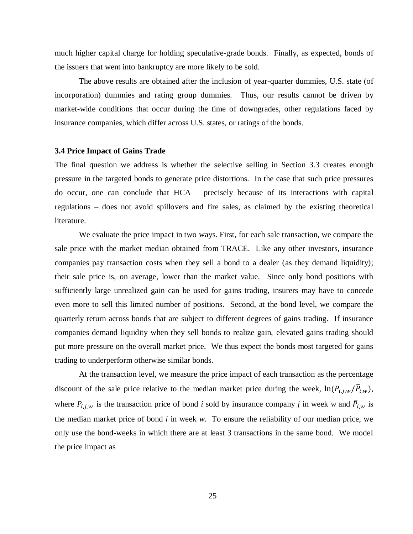much higher capital charge for holding speculative-grade bonds. Finally, as expected, bonds of the issuers that went into bankruptcy are more likely to be sold.

The above results are obtained after the inclusion of year-quarter dummies, U.S. state (of incorporation) dummies and rating group dummies. Thus, our results cannot be driven by market-wide conditions that occur during the time of downgrades, other regulations faced by insurance companies, which differ across U.S. states, or ratings of the bonds.

# **3.4 Price Impact of Gains Trade**

The final question we address is whether the selective selling in Section 3.3 creates enough pressure in the targeted bonds to generate price distortions. In the case that such price pressures do occur, one can conclude that HCA – precisely because of its interactions with capital regulations – does not avoid spillovers and fire sales, as claimed by the existing theoretical literature.

We evaluate the price impact in two ways. First, for each sale transaction, we compare the sale price with the market median obtained from TRACE. Like any other investors, insurance companies pay transaction costs when they sell a bond to a dealer (as they demand liquidity); their sale price is, on average, lower than the market value. Since only bond positions with sufficiently large unrealized gain can be used for gains trading, insurers may have to concede even more to sell this limited number of positions. Second, at the bond level, we compare the quarterly return across bonds that are subject to different degrees of gains trading. If insurance companies demand liquidity when they sell bonds to realize gain, elevated gains trading should put more pressure on the overall market price. We thus expect the bonds most targeted for gains trading to underperform otherwise similar bonds.

At the transaction level, we measure the price impact of each transaction as the percentage discount of the sale price relative to the median market price during the week,  $\ln(P_{i,j,w}/\bar{P}_{i,w})$ , where  $P_{i,j,w}$  is the transaction price of bond *i* sold by insurance company *j* in week *w* and  $\overline{P}_{i,w}$  is the median market price of bond *i* in week *w*. To ensure the reliability of our median price, we only use the bond-weeks in which there are at least 3 transactions in the same bond. We model the price impact as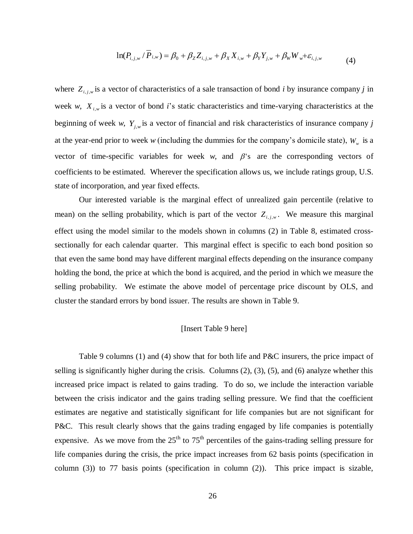$$
\ln(P_{i,j,w} / P_{i,w}) = \beta_0 + \beta_Z Z_{i,j,w} + \beta_X X_{i,w} + \beta_Y Y_{j,w} + \beta_W W_w + \varepsilon_{i,j,w}
$$
(4)

where  $Z_{i,j,w}$  is a vector of characteristics of a sale transaction of bond *i* by insurance company *j* in week *w*,  $X_{i,w}$  is a vector of bond *i*'s static characteristics and time-varying characteristics at the beginning of week *w*,  $Y_{j,w}$  is a vector of financial and risk characteristics of insurance company *j* at the year-end prior to week *w* (including the dummies for the company's domicile state),  $W_w$  is a vector of time-specific variables for week  $w$ , and  $\beta$ 's are the corresponding vectors of coefficients to be estimated. Wherever the specification allows us, we include ratings group, U.S. state of incorporation, and year fixed effects.

Our interested variable is the marginal effect of unrealized gain percentile (relative to mean) on the selling probability, which is part of the vector  $Z_{i,j,w}$ . We measure this marginal effect using the model similar to the models shown in columns (2) in Table 8, estimated crosssectionally for each calendar quarter. This marginal effect is specific to each bond position so that even the same bond may have different marginal effects depending on the insurance company holding the bond, the price at which the bond is acquired, and the period in which we measure the selling probability. We estimate the above model of percentage price discount by OLS, and cluster the standard errors by bond issuer. The results are shown in Table 9.

## [Insert Table 9 here]

Table 9 columns (1) and (4) show that for both life and P&C insurers, the price impact of selling is significantly higher during the crisis. Columns (2), (3), (5), and (6) analyze whether this increased price impact is related to gains trading. To do so, we include the interaction variable between the crisis indicator and the gains trading selling pressure. We find that the coefficient estimates are negative and statistically significant for life companies but are not significant for P&C. This result clearly shows that the gains trading engaged by life companies is potentially expensive. As we move from the  $25<sup>th</sup>$  to  $75<sup>th</sup>$  percentiles of the gains-trading selling pressure for life companies during the crisis, the price impact increases from 62 basis points (specification in column (3)) to 77 basis points (specification in column (2)). This price impact is sizable,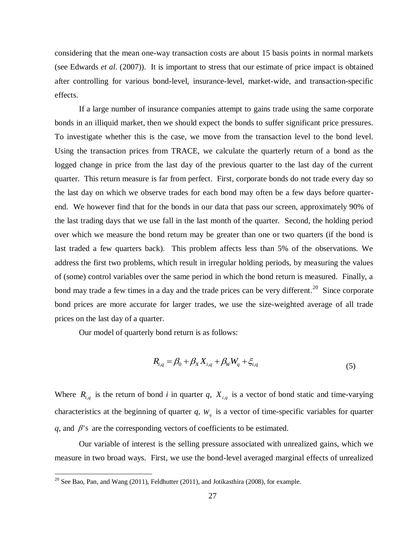considering that the mean one-way transaction costs are about 15 basis points in normal markets (see Edwards *et al*. (2007)). It is important to stress that our estimate of price impact is obtained after controlling for various bond-level, insurance-level, market-wide, and transaction-specific effects.

If a large number of insurance companies attempt to gains trade using the same corporate bonds in an illiquid market, then we should expect the bonds to suffer significant price pressures. To investigate whether this is the case, we move from the transaction level to the bond level. Using the transaction prices from TRACE, we calculate the quarterly return of a bond as the logged change in price from the last day of the previous quarter to the last day of the current quarter. This return measure is far from perfect. First, corporate bonds do not trade every day so the last day on which we observe trades for each bond may often be a few days before quarterend. We however find that for the bonds in our data that pass our screen, approximately 90% of the last trading days that we use fall in the last month of the quarter. Second, the holding period over which we measure the bond return may be greater than one or two quarters (if the bond is last traded a few quarters back). This problem affects less than 5% of the observations. We address the first two problems, which result in irregular holding periods, by measuring the values of (some) control variables over the same period in which the bond return is measured. Finally, a bond may trade a few times in a day and the trade prices can be very different.<sup>20</sup> Since corporate bond prices are more accurate for larger trades, we use the size-weighted average of all trade prices on the last day of a quarter.

Our model of quarterly bond return is as follows:

$$
R_{i,q} = \beta_0 + \beta_X X_{i,q} + \beta_W W_q + \xi_{i,q}
$$
\n(5)

Where  $R_{i,q}$  is the return of bond *i* in quarter *q*,  $X_{i,q}$  is a vector of bond static and time-varying characteristics at the beginning of quarter  $q$ ,  $W_q$  is a vector of time-specific variables for quarter  $q$ , and  $\beta$ 's are the corresponding vectors of coefficients to be estimated.

Our variable of interest is the selling pressure associated with unrealized gains, which we measure in two broad ways. First, we use the bond-level averaged marginal effects of unrealized

<sup>&</sup>lt;sup>20</sup> See Bao, Pan, and Wang (2011), Feldhutter (2011), and Jotikasthira (2008), for example.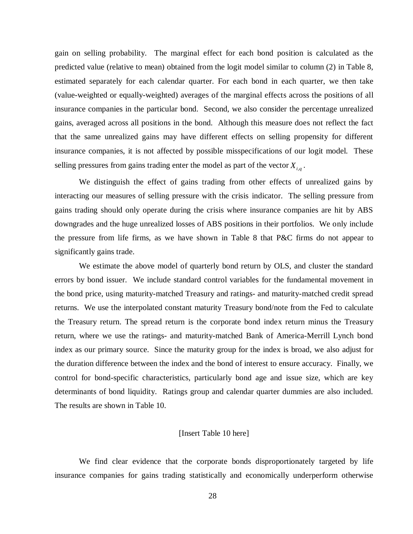gain on selling probability. The marginal effect for each bond position is calculated as the predicted value (relative to mean) obtained from the logit model similar to column (2) in Table 8, estimated separately for each calendar quarter. For each bond in each quarter, we then take (value-weighted or equally-weighted) averages of the marginal effects across the positions of all insurance companies in the particular bond. Second, we also consider the percentage unrealized gains, averaged across all positions in the bond. Although this measure does not reflect the fact that the same unrealized gains may have different effects on selling propensity for different insurance companies, it is not affected by possible misspecifications of our logit model. These selling pressures from gains trading enter the model as part of the vector *Xi*,*<sup>q</sup>* .

We distinguish the effect of gains trading from other effects of unrealized gains by interacting our measures of selling pressure with the crisis indicator. The selling pressure from gains trading should only operate during the crisis where insurance companies are hit by ABS downgrades and the huge unrealized losses of ABS positions in their portfolios. We only include the pressure from life firms, as we have shown in Table 8 that P&C firms do not appear to significantly gains trade.

We estimate the above model of quarterly bond return by OLS, and cluster the standard errors by bond issuer. We include standard control variables for the fundamental movement in the bond price, using maturity-matched Treasury and ratings- and maturity-matched credit spread returns. We use the interpolated constant maturity Treasury bond/note from the Fed to calculate the Treasury return. The spread return is the corporate bond index return minus the Treasury return, where we use the ratings- and maturity-matched Bank of America-Merrill Lynch bond index as our primary source. Since the maturity group for the index is broad, we also adjust for the duration difference between the index and the bond of interest to ensure accuracy. Finally, we control for bond-specific characteristics, particularly bond age and issue size, which are key determinants of bond liquidity. Ratings group and calendar quarter dummies are also included. The results are shown in Table 10.

### [Insert Table 10 here]

We find clear evidence that the corporate bonds disproportionately targeted by life insurance companies for gains trading statistically and economically underperform otherwise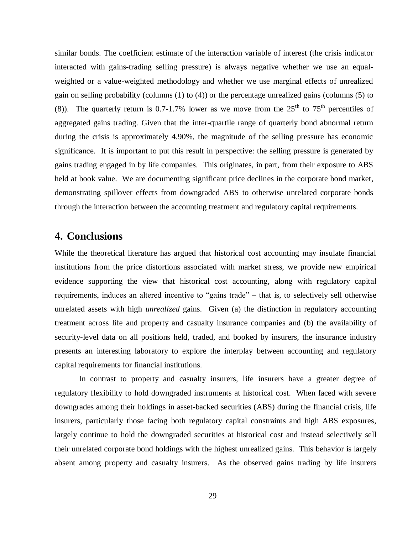similar bonds. The coefficient estimate of the interaction variable of interest (the crisis indicator interacted with gains-trading selling pressure) is always negative whether we use an equalweighted or a value-weighted methodology and whether we use marginal effects of unrealized gain on selling probability (columns (1) to (4)) or the percentage unrealized gains (columns (5) to (8)). The quarterly return is 0.7-1.7% lower as we move from the  $25<sup>th</sup>$  to 75<sup>th</sup> percentiles of aggregated gains trading. Given that the inter-quartile range of quarterly bond abnormal return during the crisis is approximately 4.90%, the magnitude of the selling pressure has economic significance. It is important to put this result in perspective: the selling pressure is generated by gains trading engaged in by life companies. This originates, in part, from their exposure to ABS held at book value. We are documenting significant price declines in the corporate bond market, demonstrating spillover effects from downgraded ABS to otherwise unrelated corporate bonds through the interaction between the accounting treatment and regulatory capital requirements.

# **4. Conclusions**

While the theoretical literature has argued that historical cost accounting may insulate financial institutions from the price distortions associated with market stress, we provide new empirical evidence supporting the view that historical cost accounting, along with regulatory capital requirements, induces an altered incentive to "gains trade" – that is, to selectively sell otherwise unrelated assets with high *unrealized* gains. Given (a) the distinction in regulatory accounting treatment across life and property and casualty insurance companies and (b) the availability of security-level data on all positions held, traded, and booked by insurers, the insurance industry presents an interesting laboratory to explore the interplay between accounting and regulatory capital requirements for financial institutions.

In contrast to property and casualty insurers, life insurers have a greater degree of regulatory flexibility to hold downgraded instruments at historical cost. When faced with severe downgrades among their holdings in asset-backed securities (ABS) during the financial crisis, life insurers, particularly those facing both regulatory capital constraints and high ABS exposures, largely continue to hold the downgraded securities at historical cost and instead selectively sell their unrelated corporate bond holdings with the highest unrealized gains. This behavior is largely absent among property and casualty insurers. As the observed gains trading by life insurers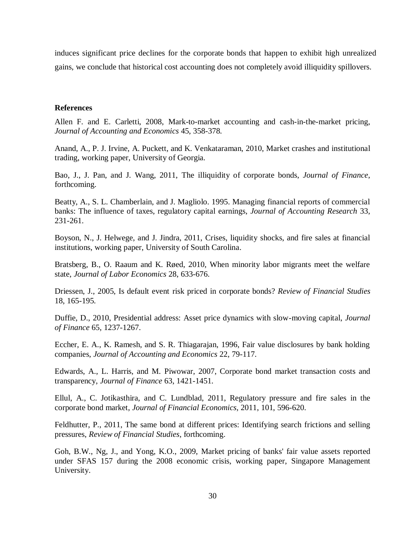induces significant price declines for the corporate bonds that happen to exhibit high unrealized gains, we conclude that historical cost accounting does not completely avoid illiquidity spillovers.

## **References**

Allen F. and E. Carletti, 2008, Mark-to-market accounting and cash-in-the-market pricing, *Journal of Accounting and Economics* 45, 358-378.

Anand, A., P. J. Irvine, A. Puckett, and K. Venkataraman, 2010, Market crashes and institutional trading, working paper, University of Georgia.

Bao, J., J. Pan, and J. Wang, 2011, The illiquidity of corporate bonds, *Journal of Finance*, forthcoming.

Beatty, A., S. L. Chamberlain, and J. Magliolo. 1995. Managing financial reports of commercial banks: The influence of taxes, regulatory capital earnings, *Journal of Accounting Research* 33, 231-261.

Boyson, N., J. Helwege, and J. Jindra, 2011, Crises, liquidity shocks, and fire sales at financial institutions, working paper, University of South Carolina.

Bratsberg, B., O. Raaum and K. Røed, 2010, When minority labor migrants meet the welfare state, *Journal of Labor Economics* 28, 633-676.

Driessen, J., 2005, Is default event risk priced in corporate bonds? *Review of Financial Studies* 18, 165-195.

Duffie, D., 2010, Presidential address: Asset price dynamics with slow-moving capital, *Journal of Finance* 65, 1237-1267.

Eccher, E. A., K. Ramesh, and S. R. Thiagarajan, 1996, Fair value disclosures by bank holding companies, *Journal of Accounting and Economics* 22, 79-117.

Edwards, A., L. Harris, and M. Piwowar, 2007, Corporate bond market transaction costs and transparency, *Journal of Finance* 63, 1421-1451.

Ellul, A., C. Jotikasthira, and C. Lundblad, 2011, Regulatory pressure and fire sales in the corporate bond market, *Journal of Financial Economics*, 2011, 101, 596-620.

Feldhutter, P., 2011, The same bond at different prices: Identifying search frictions and selling pressures, *Review of Financial Studies*, forthcoming.

Goh, B.W., Ng, J., and Yong, K.O., 2009, Market pricing of banks' fair value assets reported under SFAS 157 during the 2008 economic crisis, working paper, Singapore Management University.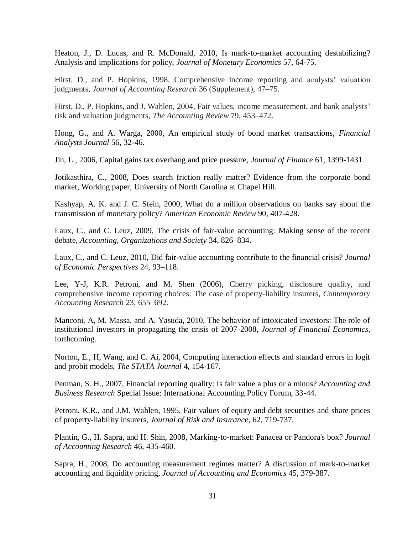Heaton, J., D. Lucas, and R. McDonald, 2010, Is mark-to-market accounting destabilizing? Analysis and implications for policy, *Journal of Monetary Economics* 57, 64-75.

Hirst, D., and P. Hopkins, 1998, Comprehensive income reporting and analysts' valuation judgments, *Journal of Accounting Research* 36 (Supplement), 47–75.

Hirst, D., P. Hopkins, and J. Wahlen, 2004, Fair values, income measurement, and bank analysts' risk and valuation judgments, *The Accounting Review* 79, 453–472.

Hong, G., and A. Warga, 2000, An empirical study of bond market transactions, *Financial Analysts Journal* 56, 32-46.

Jin, L., 2006, Capital gains tax overhang and price pressure, *Journal of Finance* 61, 1399-1431.

Jotikasthira, C., 2008, Does search friction really matter? Evidence from the corporate bond market, Working paper, University of North Carolina at Chapel Hill.

Kashyap, A. K. and J. C. Stein, 2000, What do a million observations on banks say about the transmission of monetary policy? *American Economic Review* 90, 407-428.

Laux, C., and C. Leuz, 2009, The crisis of fair-value accounting: Making sense of the recent debate, *Accounting, Organizations and Society* 34, 826–834.

Laux, C., and C. Leuz, 2010, Did fair-value accounting contribute to the financial crisis? *Journal of Economic Perspectives* 24, 93–118.

Lee, Y-J, K.R. Petroni, and M. Shen (2006), Cherry picking, disclosure quality, and comprehensive income reporting choices: The case of property-liability insurers, *Contemporary Accounting Research* 23, 655–692.

Manconi, A, M. Massa, and A. Yasuda, 2010, The behavior of intoxicated investors: The role of institutional investors in propagating the crisis of 2007-2008, *Journal of Financial Economics*, forthcoming.

Norton, E., H, Wang, and C. Ai, 2004, Computing interaction effects and standard errors in logit and probit models, *The STATA Journal* 4, 154-167.

Penman, S. H., 2007, Financial reporting quality: Is fair value a plus or a minus? *Accounting and Business Research* Special Issue: International Accounting Policy Forum, 33-44.

Petroni, K.R., and J.M. Wahlen, 1995, Fair values of equity and debt securities and share prices of property-liability insurers, *Journal of Risk and Insurance*, 62, 719-737.

Plantin, G., H. Sapra, and H. Shin, 2008, Marking-to-market: Panacea or Pandora's box? *Journal of Accounting Research* 46, 435-460.

Sapra, H., 2008, Do accounting measurement regimes matter? A discussion of mark-to-market accounting and liquidity pricing, *Journal of Accounting and Economics* 45, 379-387.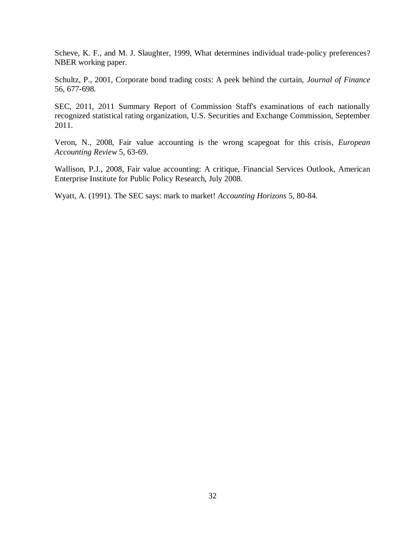Scheve, K. F., and M. J. Slaughter, 1999, What determines individual trade-policy preferences? NBER working paper.

Schultz, P., 2001, Corporate bond trading costs: A peek behind the curtain, *Journal of Finance* 56, 677-698.

SEC, 2011, 2011 Summary Report of Commission Staff's examinations of each nationally recognized statistical rating organization, U.S. Securities and Exchange Commission, September 2011.

Veron, N., 2008, Fair value accounting is the wrong scapegoat for this crisis, *European Accounting Review* 5, 63-69.

Wallison, P.J., 2008, Fair value accounting: A critique, Financial Services Outlook, American Enterprise Institute for Public Policy Research, July 2008.

Wyatt, A. (1991). The SEC says: mark to market! *Accounting Horizons* 5, 80-84.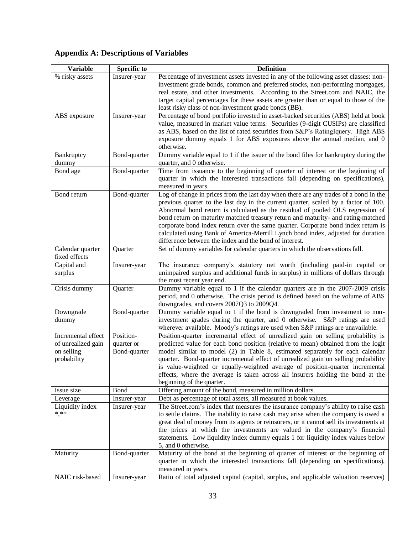# **Appendix A: Descriptions of Variables**

| <b>Variable</b>    | <b>Specific to</b> | <b>Definition</b>                                                                                                                                            |
|--------------------|--------------------|--------------------------------------------------------------------------------------------------------------------------------------------------------------|
| % risky assets     | Insurer-year       | Percentage of investment assets invested in any of the following asset classes: non-                                                                         |
|                    |                    | investment grade bonds, common and preferred stocks, non-performing mortgages,                                                                               |
|                    |                    | real estate, and other investments. According to the Street.com and NAIC, the                                                                                |
|                    |                    | target capital percentages for these assets are greater than or equal to those of the                                                                        |
|                    |                    | least risky class of non-investment grade bonds (BB).                                                                                                        |
| ABS exposure       | Insurer-year       | Percentage of bond portfolio invested in asset-backed securities (ABS) held at book                                                                          |
|                    |                    | value, measured in market value terms. Securities (9-digit CUSIPs) are classified                                                                            |
|                    |                    | as ABS, based on the list of rated securities from S&P's RatingIquery. High ABS                                                                              |
|                    |                    | exposure dummy equals 1 for ABS exposures above the annual median, and 0                                                                                     |
|                    |                    | otherwise.                                                                                                                                                   |
| Bankruptcy         | Bond-quarter       | Dummy variable equal to 1 if the issuer of the bond files for bankruptcy during the                                                                          |
| dummy              |                    | quarter, and 0 otherwise.                                                                                                                                    |
| Bond age           | Bond-quarter       | Time from issuance to the beginning of quarter of interest or the beginning of                                                                               |
|                    |                    | quarter in which the interested transactions fall (depending on specifications),                                                                             |
|                    |                    | measured in years.                                                                                                                                           |
| Bond return        | Bond-quarter       | Log of change in prices from the last day when there are any trades of a bond in the                                                                         |
|                    |                    | previous quarter to the last day in the current quarter, scaled by a factor of 100.                                                                          |
|                    |                    | Abnormal bond return is calculated as the residual of pooled OLS regression of                                                                               |
|                    |                    | bond return on maturity matched treasury return and maturity- and rating-matched                                                                             |
|                    |                    | corporate bond index return over the same quarter. Corporate bond index return is                                                                            |
|                    |                    | calculated using Bank of America-Merrill Lynch bond index, adjusted for duration<br>difference between the index and the bond of interest.                   |
| Calendar quarter   | Quarter            | Set of dummy variables for calendar quarters in which the observations fall.                                                                                 |
| fixed effects      |                    |                                                                                                                                                              |
| Capital and        | Insurer-year       | The insurance company's statutory net worth (including paid-in capital or                                                                                    |
| surplus            |                    | unimpaired surplus and additional funds in surplus) in millions of dollars through                                                                           |
|                    |                    | the most recent year end.                                                                                                                                    |
| Crisis dummy       | Quarter            | Dummy variable equal to 1 if the calendar quarters are in the 2007-2009 crisis                                                                               |
|                    |                    | period, and 0 otherwise. The crisis period is defined based on the volume of ABS                                                                             |
|                    |                    | downgrades, and covers 2007Q3 to 2009Q4.                                                                                                                     |
| Downgrade          | Bond-quarter       | Dummy variable equal to 1 if the bond is downgraded from investment to non-                                                                                  |
| dummy              |                    | investment grades during the quarter, and 0 otherwise. S&P ratings are used                                                                                  |
|                    |                    | wherever available. Moody's ratings are used when S&P ratings are unavailable.                                                                               |
| Incremental effect | Position-          | Position-quarter incremental effect of unrealized gain on selling probability is                                                                             |
| of unrealized gain | quarter or         | predicted value for each bond position (relative to mean) obtained from the logit                                                                            |
| on selling         | Bond-quarter       | model similar to model (2) in Table 8, estimated separately for each calendar                                                                                |
| probability        |                    | quarter. Bond-quarter incremental effect of unrealized gain on selling probability                                                                           |
|                    |                    | is value-weighted or equally-weighted average of position-quarter incremental                                                                                |
|                    |                    | effects, where the average is taken across all insurers holding the bond at the                                                                              |
|                    |                    | beginning of the quarter.                                                                                                                                    |
| Issue size         | Bond               | Offering amount of the bond, measured in million dollars.                                                                                                    |
| Leverage           | Insurer-year       | Debt as percentage of total assets, all measured at book values.                                                                                             |
| Liquidity index    | Insurer-year       | The Street.com's index that measures the insurance company's ability to raise cash                                                                           |
| $***$              |                    | to settle claims. The inability to raise cash may arise when the company is owed a                                                                           |
|                    |                    | great deal of money from its agents or reinsurers, or it cannot sell its investments at                                                                      |
|                    |                    | the prices at which the investments are valued in the company's financial<br>statements. Low liquidity index dummy equals 1 for liquidity index values below |
|                    |                    | 5, and 0 otherwise.                                                                                                                                          |
| Maturity           | Bond-quarter       | Maturity of the bond at the beginning of quarter of interest or the beginning of                                                                             |
|                    |                    | quarter in which the interested transactions fall (depending on specifications),                                                                             |
|                    |                    | measured in years.                                                                                                                                           |
| NAIC risk-based    | Insurer-year       | Ratio of total adjusted capital (capital, surplus, and applicable valuation reserves)                                                                        |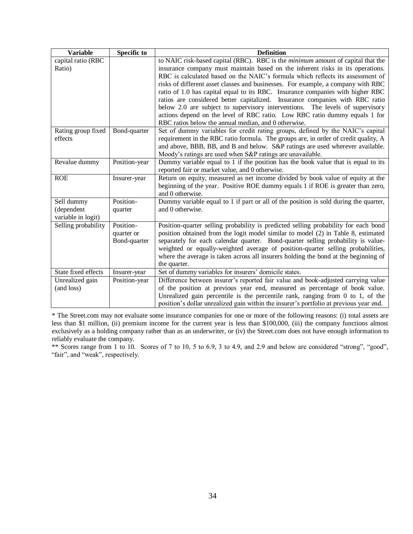| <b>Variable</b>     | <b>Specific to</b> | <b>Definition</b>                                                                                                                    |
|---------------------|--------------------|--------------------------------------------------------------------------------------------------------------------------------------|
| capital ratio (RBC  |                    | to NAIC risk-based capital (RBC). RBC is the minimum amount of capital that the                                                      |
| Ratio)              |                    | insurance company must maintain based on the inherent risks in its operations.                                                       |
|                     |                    | RBC is calculated based on the NAIC's formula which reflects its assessment of                                                       |
|                     |                    | risks of different asset classes and businesses. For example, a company with RBC                                                     |
|                     |                    | ratio of 1.0 has capital equal to its RBC. Insurance companies with higher RBC                                                       |
|                     |                    | ratios are considered better capitalized. Insurance companies with RBC ratio                                                         |
|                     |                    | below 2.0 are subject to supervisory interventions. The levels of supervisory                                                        |
|                     |                    | actions depend on the level of RBC ratio. Low RBC ratio dummy equals 1 for                                                           |
|                     |                    | RBC ratios below the annual median, and 0 otherwise.                                                                                 |
| Rating group fixed  | Bond-quarter       | Set of dummy variables for credit rating groups, defined by the NAIC's capital                                                       |
| effects             |                    | requirement in the RBC ratio formula. The groups are, in order of credit quality, A                                                  |
|                     |                    | and above, BBB, BB, and B and below. S&P ratings are used wherever available.                                                        |
|                     |                    | Moody's ratings are used when S&P ratings are unavailable.                                                                           |
| Revalue dummy       | Position-year      | Dummy variable equal to 1 if the position has the book value that is equal to its<br>reported fair or market value, and 0 otherwise. |
| <b>ROE</b>          |                    |                                                                                                                                      |
|                     | Insurer-year       | Return on equity, measured as net income divided by book value of equity at the                                                      |
|                     |                    | beginning of the year. Positive ROE dummy equals 1 if ROE is greater than zero,<br>and 0 otherwise.                                  |
| Sell dummy          | Position-          | Dummy variable equal to 1 if part or all of the position is sold during the quarter,                                                 |
| (dependent          | quarter            | and 0 otherwise.                                                                                                                     |
| variable in logit)  |                    |                                                                                                                                      |
| Selling probability | Position-          | Position-quarter selling probability is predicted selling probability for each bond                                                  |
|                     | quarter or         | position obtained from the logit model similar to model (2) in Table 8, estimated                                                    |
|                     | Bond-quarter       | separately for each calendar quarter. Bond-quarter selling probability is value-                                                     |
|                     |                    | weighted or equally-weighted average of position-quarter selling probabilities,                                                      |
|                     |                    | where the average is taken across all insurers holding the bond at the beginning of                                                  |
|                     |                    | the quarter.                                                                                                                         |
| State fixed effects | Insurer-year       | Set of dummy variables for insurers' domicile states.                                                                                |
| Unrealized gain     | Position-year      | Difference between insurer's reported fair value and book-adjusted carrying value                                                    |
| (and loss)          |                    | of the position at previous year end, measured as percentage of book value.                                                          |
|                     |                    | Unrealized gain percentile is the percentile rank, ranging from $0$ to 1, of the                                                     |
|                     |                    | position's dollar unrealized gain within the insurer's portfolio at previous year end.                                               |

\* The Street.com may not evaluate some insurance companies for one or more of the following reasons: (i) total assets are less than \$1 million, (ii) premium income for the current year is less than \$100,000, (iii) the company functions almost exclusively as a holding company rather than as an underwriter, or (iv) the Street.com does not have enough information to reliably evaluate the company.

\*\* Scores range from 1 to 10. Scores of 7 to 10, 5 to 6.9, 3 to 4.9, and 2.9 and below are considered "strong", "good", "fair", and "weak", respectively.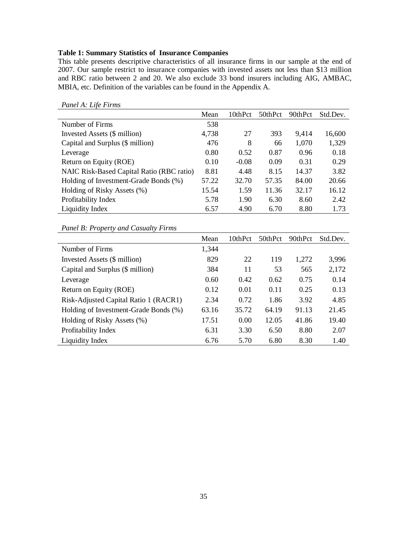# **Table 1: Summary Statistics of Insurance Companies**

This table presents descriptive characteristics of all insurance firms in our sample at the end of 2007. Our sample restrict to insurance companies with invested assets not less than \$13 million and RBC ratio between 2 and 20. We also exclude 33 bond insurers including AIG, AMBAC, MBIA, etc. Definition of the variables can be found in the Appendix A.

|                                           | Mean  | 10thPct | 50thPct | 90thPct | Std.Dev. |
|-------------------------------------------|-------|---------|---------|---------|----------|
| Number of Firms                           | 538   |         |         |         |          |
| Invested Assets (\$ million)              | 4,738 | 27      | 393     | 9.414   | 16,600   |
| Capital and Surplus (\$ million)          | 476   | 8       | 66      | 1,070   | 1,329    |
| Leverage                                  | 0.80  | 0.52    | 0.87    | 0.96    | 0.18     |
| Return on Equity (ROE)                    | 0.10  | $-0.08$ | 0.09    | 0.31    | 0.29     |
| NAIC Risk-Based Capital Ratio (RBC ratio) | 8.81  | 4.48    | 8.15    | 14.37   | 3.82     |
| Holding of Investment-Grade Bonds (%)     | 57.22 | 32.70   | 57.35   | 84.00   | 20.66    |
| Holding of Risky Assets (%)               | 15.54 | 1.59    | 11.36   | 32.17   | 16.12    |
| Profitability Index                       | 5.78  | 1.90    | 6.30    | 8.60    | 2.42     |
| Liquidity Index                           | 6.57  | 4.90    | 6.70    | 8.80    | 1.73     |

*Panel A: Life Firms*

*Panel B: Property and Casualty Firms*

|                                       | Mean  | 10thPct | 50thPct | 90thPct | Std.Dev. |
|---------------------------------------|-------|---------|---------|---------|----------|
| Number of Firms                       | 1,344 |         |         |         |          |
| Invested Assets (\$ million)          | 829   | 22      | 119     | 1,272   | 3,996    |
| Capital and Surplus (\$ million)      | 384   | 11      | 53      | 565     | 2,172    |
| Leverage                              | 0.60  | 0.42    | 0.62    | 0.75    | 0.14     |
| Return on Equity (ROE)                | 0.12  | 0.01    | 0.11    | 0.25    | 0.13     |
| Risk-Adjusted Capital Ratio 1 (RACR1) | 2.34  | 0.72    | 1.86    | 3.92    | 4.85     |
| Holding of Investment-Grade Bonds (%) | 63.16 | 35.72   | 64.19   | 91.13   | 21.45    |
| Holding of Risky Assets (%)           | 17.51 | 0.00    | 12.05   | 41.86   | 19.40    |
| Profitability Index                   | 6.31  | 3.30    | 6.50    | 8.80    | 2.07     |
| Liquidity Index                       | 6.76  | 5.70    | 6.80    | 8.30    | 1.40     |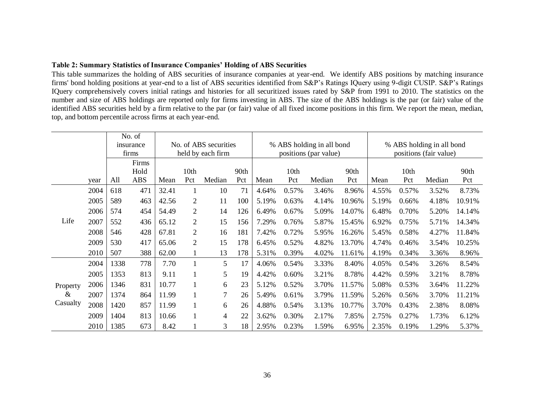### **Table 2: Summary Statistics of Insurance Companies' Holding of ABS Securities**

This table summarizes the holding of ABS securities of insurance companies at year-end. We identify ABS positions by matching insurance firms' bond holding positions at year-end to a list of ABS securities identified from S&P's Ratings IQuery using 9-digit CUSIP. S&P's Ratings IQuery comprehensively covers initial ratings and histories for all securitized issues rated by S&P from 1991 to 2010. The statistics on the number and size of ABS holdings are reported only for firms investing in ABS. The size of the ABS holdings is the par (or fair) value of the identified ABS securities held by a firm relative to the par (or fair) value of all fixed income positions in this firm. We report the mean, median, top, and bottom percentile across firms at each year-end.

|          |      |      | No. of     |       |                |                       |      |       |       |                           |        |       |                                                     |        |        |
|----------|------|------|------------|-------|----------------|-----------------------|------|-------|-------|---------------------------|--------|-------|-----------------------------------------------------|--------|--------|
|          |      |      | insurance  |       |                | No. of ABS securities |      |       |       | % ABS holding in all bond |        |       | % ABS holding in all bond<br>positions (fair value) |        |        |
|          |      |      | firms      |       |                | held by each firm     |      |       |       | positions (par value)     |        |       |                                                     |        |        |
|          |      |      | Firms      |       |                |                       |      |       |       |                           |        |       |                                                     |        |        |
|          |      |      | Hold       |       | 10th           |                       | 90th |       | 10th  |                           | 90th   |       | 10th                                                |        | 90th   |
|          | year | All  | <b>ABS</b> | Mean  | Pct            | Median                | Pct  | Mean  | Pct   | Median                    | Pct    | Mean  | Pct                                                 | Median | Pct    |
|          | 2004 | 618  | 471        | 32.41 |                | 10                    | 71   | 4.64% | 0.57% | 3.46%                     | 8.96%  | 4.55% | 0.57%                                               | 3.52%  | 8.73%  |
|          | 2005 | 589  | 463        | 42.56 | 2              | 11                    | 100  | 5.19% | 0.63% | 4.14%                     | 10.96% | 5.19% | 0.66%                                               | 4.18%  | 10.91% |
|          | 2006 | 574  | 454        | 54.49 | $\overline{2}$ | 14                    | 126  | 6.49% | 0.67% | 5.09%                     | 14.07% | 6.48% | 0.70%                                               | 5.20%  | 14.14% |
| Life     | 2007 | 552  | 436        | 65.12 | 2              | 15                    | 156  | 7.29% | 0.76% | 5.87%                     | 15.45% | 6.92% | 0.75%                                               | 5.71%  | 14.34% |
|          | 2008 | 546  | 428        | 67.81 | 2              | 16                    | 181  | 7.42% | 0.72% | 5.95%                     | 16.26% | 5.45% | 0.58%                                               | 4.27%  | 11.84% |
|          | 2009 | 530  | 417        | 65.06 | 2              | 15                    | 178  | 6.45% | 0.52% | 4.82%                     | 13.70% | 4.74% | 0.46%                                               | 3.54%  | 10.25% |
|          | 2010 | 507  | 388        | 62.00 |                | 13                    | 178  | 5.31% | 0.39% | 4.02%                     | 11.61% | 4.19% | 0.34%                                               | 3.36%  | 8.96%  |
|          | 2004 | 1338 | 778        | 7.70  |                | 5                     | 17   | 4.06% | 0.54% | 3.33%                     | 8.40%  | 4.05% | 0.54%                                               | 3.26%  | 8.54%  |
|          | 2005 | 1353 | 813        | 9.11  |                | 5                     | 19   | 4.42% | 0.60% | 3.21%                     | 8.78%  | 4.42% | 0.59%                                               | 3.21%  | 8.78%  |
| Property | 2006 | 1346 | 831        | 10.77 |                | 6                     | 23   | 5.12% | 0.52% | 3.70%                     | 11.57% | 5.08% | 0.53%                                               | 3.64%  | 11.22% |
| &        | 2007 | 1374 | 864        | 11.99 |                | 7                     | 26   | 5.49% | 0.61% | 3.79%                     | 11.59% | 5.26% | 0.56%                                               | 3.70%  | 11.21% |
| Casualty | 2008 | 1420 | 857        | 11.99 |                | 6                     | 26   | 4.88% | 0.54% | 3.13%                     | 10.77% | 3.70% | 0.43%                                               | 2.38%  | 8.08%  |
|          | 2009 | 1404 | 813        | 10.66 |                | 4                     | 22   | 3.62% | 0.30% | 2.17%                     | 7.85%  | 2.75% | 0.27%                                               | 1.73%  | 6.12%  |
|          | 2010 | 1385 | 673        | 8.42  |                | 3                     | 18   | 2.95% | 0.23% | 1.59%                     | 6.95%  | 2.35% | 0.19%                                               | 1.29%  | 5.37%  |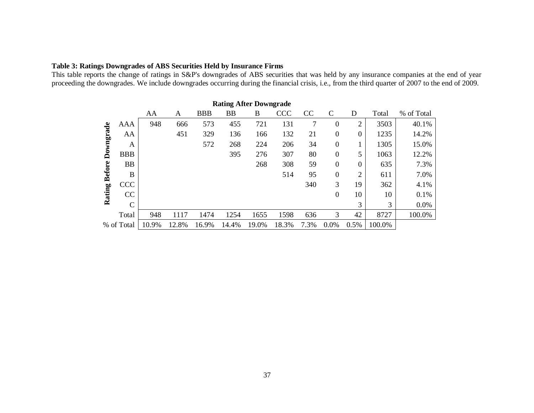# **Table 3: Ratings Downgrades of ABS Securities Held by Insurance Firms**

This table reports the change of ratings in S&P's downgrades of ABS securities that was held by any insurance companies at the end of year proceeding the downgrades. We include downgrades occurring during the financial crisis, i.e., from the third quarter of 2007 to the end of 2009.

|               | <b>Rating After Downgrade</b> |       |       |       |       |       |            |               |                  |                  |        |            |  |  |
|---------------|-------------------------------|-------|-------|-------|-------|-------|------------|---------------|------------------|------------------|--------|------------|--|--|
|               |                               | AA    | A     | BBB   | BB    | B     | <b>CCC</b> | <sub>CC</sub> | $\mathsf{C}$     | D                | Total  | % of Total |  |  |
|               | AAA                           | 948   | 666   | 573   | 455   | 721   | 131        | 7             | $\boldsymbol{0}$ | $\overline{2}$   | 3503   | 40.1%      |  |  |
|               | AA                            |       | 451   | 329   | 136   | 166   | 132        | 21            | $\theta$         | $\boldsymbol{0}$ | 1235   | 14.2%      |  |  |
| Downgrade     | A                             |       |       | 572   | 268   | 224   | 206        | 34            | $\overline{0}$   | T                | 1305   | 15.0%      |  |  |
|               | <b>BBB</b>                    |       |       |       | 395   | 276   | 307        | 80            | $\theta$         | 5                | 1063   | 12.2%      |  |  |
|               | <b>BB</b>                     |       |       |       |       | 268   | 308        | 59            | $\theta$         | $\boldsymbol{0}$ | 635    | 7.3%       |  |  |
|               | B                             |       |       |       |       |       | 514        | 95            | $\overline{0}$   | $\overline{2}$   | 611    | 7.0%       |  |  |
| Rating Before | <b>CCC</b>                    |       |       |       |       |       |            | 340           | 3                | 19               | 362    | 4.1%       |  |  |
|               | CC                            |       |       |       |       |       |            |               | $\theta$         | 10               | 10     | 0.1%       |  |  |
|               | $\mathsf{C}$                  |       |       |       |       |       |            |               |                  | 3                | 3      | 0.0%       |  |  |
|               | Total                         | 948   | 1117  | 1474  | 1254  | 1655  | 1598       | 636           | 3                | 42               | 8727   | 100.0%     |  |  |
|               | % of Total                    | 10.9% | 12.8% | 16.9% | 14.4% | 19.0% | 18.3%      | 7.3%          | $0.0\%$          | 0.5%             | 100.0% |            |  |  |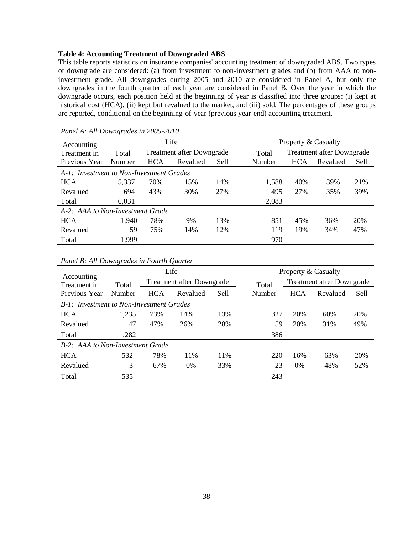#### **Table 4: Accounting Treatment of Downgraded ABS**

This table reports statistics on insurance companies' accounting treatment of downgraded ABS. Two types of downgrade are considered: (a) from investment to non-investment grades and (b) from AAA to noninvestment grade. All downgrades during 2005 and 2010 are considered in Panel A, but only the downgrades in the fourth quarter of each year are considered in Panel B. Over the year in which the downgrade occurs, each position held at the beginning of year is classified into three groups: (i) kept at historical cost (HCA), (ii) kept but revalued to the market, and (iii) sold. The percentages of these groups are reported, conditional on the beginning-of-year (previous year-end) accounting treatment.

| $1$ where $11$ , $11w \rightarrow w$ , $1w \rightarrow w$ is $1w \rightarrow w$ |        |            |                           |      |        |                                  |          |      |  |  |  |
|---------------------------------------------------------------------------------|--------|------------|---------------------------|------|--------|----------------------------------|----------|------|--|--|--|
| Accounting                                                                      |        |            | Life                      |      |        | Property & Casualty              |          |      |  |  |  |
| Treatment in                                                                    | Total  |            | Treatment after Downgrade |      | Total  | <b>Treatment after Downgrade</b> |          |      |  |  |  |
| Previous Year                                                                   | Number | <b>HCA</b> | Revalued                  | Sell | Number | <b>HCA</b>                       | Revalued | Sell |  |  |  |
| A-1: Investment to Non-Investment Grades                                        |        |            |                           |      |        |                                  |          |      |  |  |  |
| <b>HCA</b>                                                                      | 5,337  | 70%        | 15%                       | 14%  | 1,588  | 40%                              | 39%      | 21%  |  |  |  |
| Revalued                                                                        | 694    | 43%        | 30%                       | 27%  | 495    | 27%                              | 35%      | 39%  |  |  |  |
| Total                                                                           | 6,031  |            |                           |      | 2,083  |                                  |          |      |  |  |  |
| A-2: AAA to Non-Investment Grade                                                |        |            |                           |      |        |                                  |          |      |  |  |  |
| <b>HCA</b>                                                                      | 1,940  | 78%        | 9%                        | 13%  | 851    | 45%                              | 36%      | 20%  |  |  |  |
| Revalued                                                                        | 59     | 75%        | 14%                       | 12%  | 119    | 19%                              | 34%      | 47%  |  |  |  |
| Total                                                                           | 1,999  |            |                           |      | 970    |                                  |          |      |  |  |  |

*Panel A: All Downgrades in 2005-2010*

|                                                 |        |            | Life                      |      |        |                                  | Property & Casualty |      |  |  |
|-------------------------------------------------|--------|------------|---------------------------|------|--------|----------------------------------|---------------------|------|--|--|
| Accounting<br>Treatment in                      | Total  |            | Treatment after Downgrade |      | Total  | <b>Treatment after Downgrade</b> |                     |      |  |  |
| Previous Year                                   | Number | <b>HCA</b> | Revalued                  | Sell | Number | <b>HCA</b>                       | Revalued            | Sell |  |  |
| <b>B-1:</b> Investment to Non-Investment Grades |        |            |                           |      |        |                                  |                     |      |  |  |
| <b>HCA</b>                                      | 1,235  | 73%        | 14%                       | 13%  | 327    | 20%                              | 60%                 | 20%  |  |  |
| Revalued                                        | 47     | 47%        | 26%                       | 28%  | 59     | 20%                              | 31%                 | 49%  |  |  |
| Total                                           | 1,282  |            |                           |      | 386    |                                  |                     |      |  |  |
| <b>B-2:</b> AAA to Non-Investment Grade         |        |            |                           |      |        |                                  |                     |      |  |  |
| <b>HCA</b>                                      | 532    | 78%        | 11%                       | 11%  | 220    | 16%                              | 63%                 | 20%  |  |  |
| Revalued                                        | 3      | 67%        | 0%                        | 33%  | 23     | $0\%$                            | 48%                 | 52%  |  |  |
| Total                                           | 535    |            |                           |      | 243    |                                  |                     |      |  |  |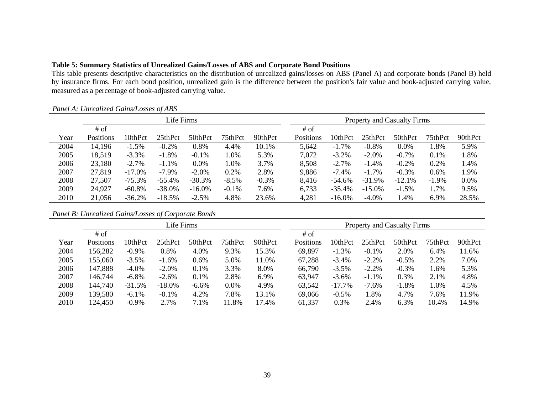# **Table 5: Summary Statistics of Unrealized Gains/Losses of ABS and Corporate Bond Positions**

This table presents descriptive characteristics on the distribution of unrealized gains/losses on ABS (Panel A) and corporate bonds (Panel B) held by insurance firms. For each bond position, unrealized gain is the difference between the position's fair value and book-adjusted carrying value, measured as a percentage of book-adjusted carrying value.

|      |           |           | Life Firms |           |          |         |           |           |           | <b>Property and Casualty Firms</b> |          |         |
|------|-----------|-----------|------------|-----------|----------|---------|-----------|-----------|-----------|------------------------------------|----------|---------|
|      | $#$ of    |           |            |           |          |         | $#$ of    |           |           |                                    |          |         |
| Year | Positions | 10thPct   | 25thPct    | 50thPct   | 75thPct  | 90thPct | Positions | 10thPct   | 25thPct   | 50thPct                            | 75thPct  | 90thPct |
| 2004 | 14,196    | $-1.5%$   | $-0.2%$    | 0.8%      | 4.4%     | 10.1%   | 5,642     | $-1.7%$   | $-0.8%$   | 0.0%                               | l.8%     | 5.9%    |
| 2005 | 18,519    | $-3.3%$   | $-1.8%$    | $-0.1%$   | l.0%     | 5.3%    | 7,072     | $-3.2%$   | $-2.0%$   | $-0.7%$                            | 0.1%     | 1.8%    |
| 2006 | 23,180    | $-2.7%$   | $-1.1\%$   | 0.0%      | l.0%     | 3.7%    | 8,508     | $-2.7%$   | $-1.4%$   | $-0.2%$                            | 0.2%     | 1.4%    |
| 2007 | 27,819    | $-17.0\%$ | $-7.9\%$   | $-2.0%$   | 0.2%     | 2.8%    | 9,886     | $-7.4\%$  | $-1.7\%$  | $-0.3%$                            | 0.6%     | 1.9%    |
| 2008 | 27,507    | $-75.3%$  | $-55.4%$   | $-30.3%$  | $-8.5%$  | $-0.3%$ | 8,416     | $-54.6\%$ | $-31.9%$  | $-12.1%$                           | $-1.9\%$ | 0.0%    |
| 2009 | 24,927    | $-60.8\%$ | $-38.0%$   | $-16.0\%$ | $-0.1\%$ | 7.6%    | 6,733     | $-35.4%$  | $-15.0\%$ | $-1.5%$                            | 1.7%     | 9.5%    |
| 2010 | 21,056    | $-36.2%$  | $-18.5%$   | $-2.5%$   | 4.8%     | 23.6%   | 4,281     | $-16.0\%$ | $-4.0%$   | 1.4%                               | 6.9%     | 28.5%   |

# *Panel A: Unrealized Gains/Losses of ABS*

*Panel B: Unrealized Gains/Losses of Corporate Bonds*

|      | Life Firms |          |           |         |         |         |           |           |          | <b>Property and Casualty Firms</b> |         |         |
|------|------------|----------|-----------|---------|---------|---------|-----------|-----------|----------|------------------------------------|---------|---------|
|      | # of       |          |           |         |         |         | # of      |           |          |                                    |         |         |
| Year | Positions  | 10thPct  | 25thPct   | 50thPct | 75thPct | 90thPct | Positions | 10thPct   | 25thPct  | 50thPct                            | 75thPct | 90thPct |
| 2004 | 156,282    | $-0.9%$  | 0.8%      | 4.0%    | 9.3%    | 15.3%   | 69,897    | $-1.3%$   | $-0.1\%$ | 2.0%                               | 6.4%    | 11.6%   |
| 2005 | 155,060    | $-3.5%$  | $-1.6\%$  | $0.6\%$ | 5.0%    | 11.0%   | 67,288    | $-3.4\%$  | $-2.2%$  | $-0.5%$                            | 2.2%    | 7.0%    |
| 2006 | 147,888    | $-4.0\%$ | $-2.0%$   | 0.1%    | 3.3%    | 8.0%    | 66,790    | $-3.5%$   | $-2.2%$  | $-0.3%$                            | 1.6%    | 5.3%    |
| 2007 | 146,744    | $-6.8\%$ | $-2.6%$   | 0.1%    | 2.8%    | 6.9%    | 63,947    | $-3.6\%$  | $-1.1%$  | 0.3%                               | 2.1%    | 4.8%    |
| 2008 | 144,740    | $-31.5%$ | $-18.0\%$ | $-6.6%$ | 0.0%    | 4.9%    | 63,542    | $-17.7\%$ | $-7.6%$  | $-1.8%$                            | 1.0%    | 4.5%    |
| 2009 | 139,580    | $-6.1\%$ | $-0.1%$   | 4.2%    | 7.8%    | 13.1%   | 69,066    | $-0.5%$   | .8%      | 4.7%                               | 7.6%    | 11.9%   |
| 2010 | 124,450    | $-0.9\%$ | 2.7%      | 7.1%    | 11.8%   | 17.4%   | 61,337    | 0.3%      | 2.4%     | 6.3%                               | 10.4%   | 14.9%   |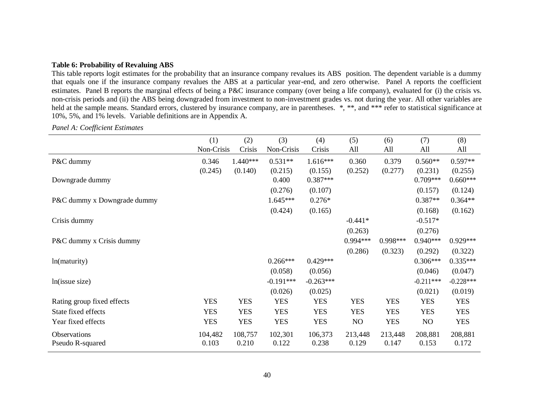### **Table 6: Probability of Revaluing ABS**

This table reports logit estimates for the probability that an insurance company revalues its ABS position. The dependent variable is a dummy that equals one if the insurance company revalues the ABS at a particular year-end, and zero otherwise. Panel A reports the coefficient estimates. Panel B reports the marginal effects of being a P&C insurance company (over being a life company), evaluated for (i) the crisis vs. non-crisis periods and (ii) the ABS being downgraded from investment to non-investment grades vs. not during the year. All other variables are held at the sample means. Standard errors, clustered by insurance company, are in parentheses. \*, \*\*, and \*\*\* refer to statistical significance at 10%, 5%, and 1% levels. Variable definitions are in Appendix A.

|                             | (1)        | (2)        | (3)         | (4)         | (5)        | (6)        | (7)            | (8)         |
|-----------------------------|------------|------------|-------------|-------------|------------|------------|----------------|-------------|
|                             | Non-Crisis | Crisis     | Non-Crisis  | Crisis      | All        | All        | All            | All         |
| P&C dummy                   | 0.346      | $1.440***$ | $0.531**$   | $1.616***$  | 0.360      | 0.379      | $0.560**$      | $0.597**$   |
|                             | (0.245)    | (0.140)    | (0.215)     | (0.155)     | (0.252)    | (0.277)    | (0.231)        | (0.255)     |
| Downgrade dummy             |            |            | 0.400       | $0.387***$  |            |            | $0.709***$     | $0.660***$  |
|                             |            |            | (0.276)     | (0.107)     |            |            | (0.157)        | (0.124)     |
| P&C dummy x Downgrade dummy |            |            | $1.645***$  | $0.276*$    |            |            | $0.387**$      | $0.364**$   |
|                             |            |            | (0.424)     | (0.165)     |            |            | (0.168)        | (0.162)     |
| Crisis dummy                |            |            |             |             | $-0.441*$  |            | $-0.517*$      |             |
|                             |            |            |             |             | (0.263)    |            | (0.276)        |             |
| P&C dummy x Crisis dummy    |            |            |             |             | 0.994***   | 0.998***   | $0.940***$     | $0.929***$  |
|                             |            |            |             |             | (0.286)    | (0.323)    | (0.292)        | (0.322)     |
| ln(maturity)                |            |            | $0.266***$  | $0.429***$  |            |            | $0.306***$     | $0.335***$  |
|                             |            |            | (0.058)     | (0.056)     |            |            | (0.046)        | (0.047)     |
| ln(issue size)              |            |            | $-0.191***$ | $-0.263***$ |            |            | $-0.211***$    | $-0.228***$ |
|                             |            |            | (0.026)     | (0.025)     |            |            | (0.021)        | (0.019)     |
| Rating group fixed effects  | <b>YES</b> | <b>YES</b> | <b>YES</b>  | <b>YES</b>  | <b>YES</b> | <b>YES</b> | <b>YES</b>     | <b>YES</b>  |
| State fixed effects         | <b>YES</b> | <b>YES</b> | <b>YES</b>  | <b>YES</b>  | <b>YES</b> | <b>YES</b> | <b>YES</b>     | <b>YES</b>  |
| Year fixed effects          | <b>YES</b> | <b>YES</b> | <b>YES</b>  | <b>YES</b>  | NO         | <b>YES</b> | N <sub>O</sub> | <b>YES</b>  |
| Observations                | 104,482    | 108,757    | 102,301     | 106,373     | 213,448    | 213,448    | 208,881        | 208,881     |
| Pseudo R-squared            | 0.103      | 0.210      | 0.122       | 0.238       | 0.129      | 0.147      | 0.153          | 0.172       |

*Panel A: Coefficient Estimates*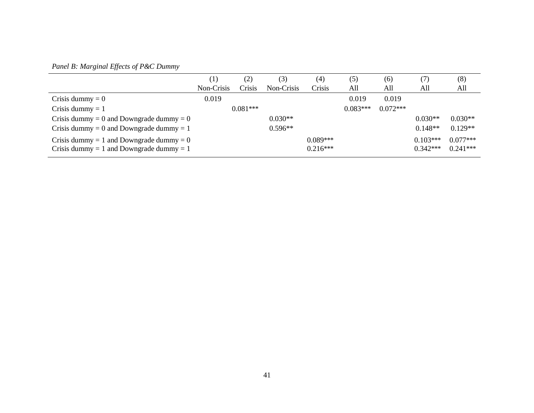# *Panel B: Marginal Effects of P&C Dummy*

|                                                                                        | $\left(1\right)$ | (2)        | (3)        | $\left( 4\right)$        | (5)        | (6)        | (7)                      | (8)                      |
|----------------------------------------------------------------------------------------|------------------|------------|------------|--------------------------|------------|------------|--------------------------|--------------------------|
|                                                                                        | Non-Crisis       | Crisis     | Non-Crisis | Crisis                   | All        | All        | All                      | All                      |
| Crisis dummy = $0$                                                                     | 0.019            |            |            |                          | 0.019      | 0.019      |                          |                          |
| Crisis dummy $= 1$                                                                     |                  | $0.081***$ |            |                          | $0.083***$ | $0.072***$ |                          |                          |
| Crisis dummy = 0 and Downgrade dummy = 0                                               |                  |            | $0.030**$  |                          |            |            | $0.030**$                | $0.030**$                |
| Crisis dummy = 0 and Downgrade dummy = 1                                               |                  |            | $0.596**$  |                          |            |            | $0.148**$                | $0.129**$                |
| Crisis dummy = 1 and Downgrade dummy = $0$<br>Crisis dummy = 1 and Downgrade dummy = 1 |                  |            |            | $0.089***$<br>$0.216***$ |            |            | $0.103***$<br>$0.342***$ | $0.077***$<br>$0.241***$ |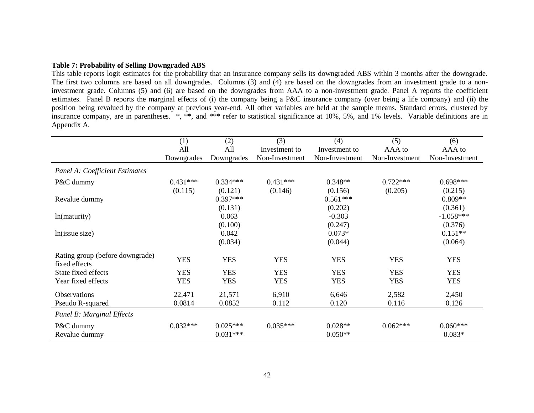#### **Table 7: Probability of Selling Downgraded ABS**

This table reports logit estimates for the probability that an insurance company sells its downgraded ABS within 3 months after the downgrade. The first two columns are based on all downgrades. Columns (3) and (4) are based on the downgrades from an investment grade to a noninvestment grade. Columns (5) and (6) are based on the downgrades from AAA to a non-investment grade. Panel A reports the coefficient estimates. Panel B reports the marginal effects of (i) the company being a P&C insurance company (over being a life company) and (ii) the position being revalued by the company at previous year-end. All other variables are held at the sample means. Standard errors, clustered by insurance company, are in parentheses. \*, \*\*, and \*\*\* refer to statistical significance at 10%, 5%, and 1% levels. Variable definitions are in Appendix A.

|                                                  | (1)        | (2)        | (3)            | (4)            | (5)            | (6)            |
|--------------------------------------------------|------------|------------|----------------|----------------|----------------|----------------|
|                                                  | All        | All        |                |                |                |                |
|                                                  |            |            | Investment to  | Investment to  | AAA to         | AAA to         |
|                                                  | Downgrades | Downgrades | Non-Investment | Non-Investment | Non-Investment | Non-Investment |
| Panel A: Coefficient Estimates                   |            |            |                |                |                |                |
| P&C dummy                                        | $0.431***$ | $0.334***$ | $0.431***$     | $0.348**$      | $0.722***$     | $0.698***$     |
|                                                  | (0.115)    | (0.121)    | (0.146)        | (0.156)        | (0.205)        | (0.215)        |
| Revalue dummy                                    |            | $0.397***$ |                | $0.561***$     |                | $0.809**$      |
|                                                  |            | (0.131)    |                | (0.202)        |                | (0.361)        |
| ln(maturity)                                     |            | 0.063      |                | $-0.303$       |                | $-1.058***$    |
|                                                  |            | (0.100)    |                | (0.247)        |                | (0.376)        |
| ln(issue size)                                   |            | 0.042      |                | $0.073*$       |                | $0.151**$      |
|                                                  |            | (0.034)    |                | (0.044)        |                | (0.064)        |
| Rating group (before downgrade)<br>fixed effects | <b>YES</b> | <b>YES</b> | <b>YES</b>     | <b>YES</b>     | <b>YES</b>     | <b>YES</b>     |
| State fixed effects                              | <b>YES</b> | <b>YES</b> | <b>YES</b>     | <b>YES</b>     | <b>YES</b>     | <b>YES</b>     |
| Year fixed effects                               | <b>YES</b> | <b>YES</b> | <b>YES</b>     | <b>YES</b>     | <b>YES</b>     | <b>YES</b>     |
| <b>Observations</b>                              | 22,471     | 21,571     | 6,910          | 6,646          | 2,582          | 2,450          |
| Pseudo R-squared                                 | 0.0814     | 0.0852     | 0.112          | 0.120          | 0.116          | 0.126          |
| Panel B: Marginal Effects                        |            |            |                |                |                |                |
| P&C dummy                                        | $0.032***$ | $0.025***$ | $0.035***$     | $0.028**$      | $0.062***$     | $0.060***$     |
| Revalue dummy                                    |            | $0.031***$ |                | $0.050**$      |                | $0.083*$       |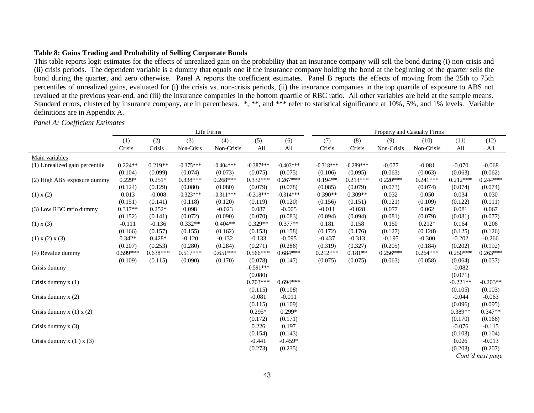## **Table 8: Gains Trading and Probability of Selling Corporate Bonds**

This table reports logit estimates for the effects of unrealized gain on the probability that an insurance company will sell the bond during (i) non-crisis and (ii) crisis periods. The dependent variable is a dummy that equals one if the insurance company holding the bond at the beginning of the quarter sells the bond during the quarter, and zero otherwise. Panel A reports the coefficient estimates. Panel B reports the effects of moving from the 25th to 75th percentiles of unrealized gains, evaluated for (i) the crisis vs. non-crisis periods, (ii) the insurance companies in the top quartile of exposure to ABS not revalued at the previous year-end, and (iii) the insurance companies in the bottom quartile of RBC ratio. All other variables are held at the sample means. Standard errors, clustered by insurance company, are in parentheses. \*, \*\*, and \*\*\* refer to statistical significance at 10%, 5%, and 1% levels. Variable definitions are in Appendix A.

### *Panel A: Coefficient Estimates*

|                                |            |            |             | Life Firms  |             |             |             | Property and Casualty Firms |            |            |            |                  |
|--------------------------------|------------|------------|-------------|-------------|-------------|-------------|-------------|-----------------------------|------------|------------|------------|------------------|
|                                | (1)        | (2)        | (3)         | (4)         | (5)         | (6)         | (7)         | (8)                         | (9)        | (10)       | (11)       | (12)             |
|                                | Crisis     | Crisis     | Non-Crisis  | Non-Crisis  | All         | All         | Crisis      | Crisis                      | Non-Crisis | Non-Crisis | All        | All              |
| Main variables                 |            |            |             |             |             |             |             |                             |            |            |            |                  |
| (1) Unrealized gain percentile | $0.224**$  | $0.219**$  | $-0.375***$ | $-0.404***$ | $-0.387***$ | $-0.403***$ | $-0.318***$ | $-0.289***$                 | $-0.077$   | $-0.081$   | $-0.070$   | $-0.068$         |
|                                | (0.104)    | (0.099)    | (0.074)     | (0.073)     | (0.075)     | (0.075)     | (0.106)     | (0.095)                     | (0.063)    | (0.063)    | (0.063)    | (0.062)          |
| (2) High ABS exposure dummy    | $0.229*$   | $0.251*$   | $0.338***$  | $0.268***$  | $0.332***$  | $0.267***$  | $0.194**$   | $0.213***$                  | $0.220***$ | $0.241***$ | $0.212***$ | $0.244***$       |
|                                | (0.124)    | (0.129)    | (0.080)     | (0.080)     | (0.079)     | (0.078)     | (0.085)     | (0.079)                     | (0.073)    | (0.074)    | (0.074)    | (0.074)          |
| (1) x (2)                      | 0.013      | $-0.008$   | $-0.323***$ | $-0.311***$ | $-0.318***$ | $-0.314***$ | $0.390**$   | $0.309**$                   | 0.032      | 0.050      | 0.034      | 0.030            |
|                                | (0.151)    | (0.141)    | (0.118)     | (0.120)     | (0.119)     | (0.120)     | (0.156)     | (0.151)                     | (0.121)    | (0.109)    | (0.122)    | (0.111)          |
| (3) Low RBC ratio dummy        | $0.317**$  | $0.252*$   | 0.098       | $-0.023$    | 0.087       | $-0.005$    | $-0.011$    | $-0.028$                    | 0.077      | 0.062      | 0.081      | 0.067            |
|                                | (0.152)    | (0.141)    | (0.072)     | (0.090)     | (0.070)     | (0.083)     | (0.094)     | (0.094)                     | (0.081)    | (0.079)    | (0.081)    | (0.077)          |
| $(1)$ x $(3)$                  | $-0.111$   | $-0.136$   | $0.332**$   | $0.404**$   | $0.329**$   | $0.377**$   | 0.181       | 0.158                       | 0.150      | $0.212*$   | 0.164      | 0.206            |
|                                | (0.166)    | (0.157)    | (0.155)     | (0.162)     | (0.153)     | (0.158)     | (0.172)     | (0.176)                     | (0.127)    | (0.128)    | (0.125)    | (0.126)          |
| $(1)$ x $(2)$ x $(3)$          | $0.342*$   | $0.428*$   | $-0.120$    | $-0.132$    | $-0.133$    | $-0.095$    | $-0.437$    | $-0.313$                    | $-0.195$   | $-0.300$   | $-0.202$   | $-0.266$         |
|                                | (0.207)    | (0.253)    | (0.280)     | (0.284)     | (0.271)     | (0.286)     | (0.319)     | (0.327)                     | (0.205)    | (0.184)    | (0.202)    | (0.192)          |
| (4) Revalue dummy              | $0.599***$ | $0.638***$ | $0.517***$  | $0.651***$  | $0.566***$  | $0.684***$  | $0.212***$  | $0.181**$                   | $0.256***$ | $0.264***$ | $0.250***$ | $0.263***$       |
|                                | (0.109)    | (0.115)    | (0.090)     | (0.170)     | (0.078)     | (0.147)     | (0.075)     | (0.075)                     | (0.063)    | (0.058)    | (0.064)    | (0.057)          |
| Crisis dummy                   |            |            |             |             | $-0.591***$ |             |             |                             |            |            | $-0.082$   |                  |
|                                |            |            |             |             | (0.080)     |             |             |                             |            |            | (0.071)    |                  |
| Crisis dummy $x(1)$            |            |            |             |             | $0.703***$  | $0.694***$  |             |                             |            |            | $-0.221**$ | $-0.203**$       |
|                                |            |            |             |             | (0.115)     | (0.108)     |             |                             |            |            | (0.105)    | (0.103)          |
| Crisis dummy $x(2)$            |            |            |             |             | $-0.081$    | $-0.011$    |             |                             |            |            | $-0.044$   | $-0.063$         |
|                                |            |            |             |             | (0.115)     | (0.109)     |             |                             |            |            | (0.096)    | (0.095)          |
| Crisis dummy $x(1)$ $x(2)$     |            |            |             |             | $0.295*$    | $0.299*$    |             |                             |            |            | 0.389**    | $0.347**$        |
|                                |            |            |             |             | (0.172)     | (0.171)     |             |                             |            |            | (0.170)    | (0.166)          |
| Crisis dummy $x(3)$            |            |            |             |             | 0.226       | 0.197       |             |                             |            |            | $-0.076$   | $-0.115$         |
|                                |            |            |             |             | (0.154)     | (0.143)     |             |                             |            |            | (0.103)    | (0.104)          |
| Crisis dummy $x(1)$ $x(3)$     |            |            |             |             | $-0.441$    | $-0.459*$   |             |                             |            |            | 0.026      | $-0.013$         |
|                                |            |            |             |             | (0.273)     | (0.235)     |             |                             |            |            | (0.203)    | (0.207)          |
|                                |            |            |             |             |             |             |             |                             |            |            |            | Cont'd next page |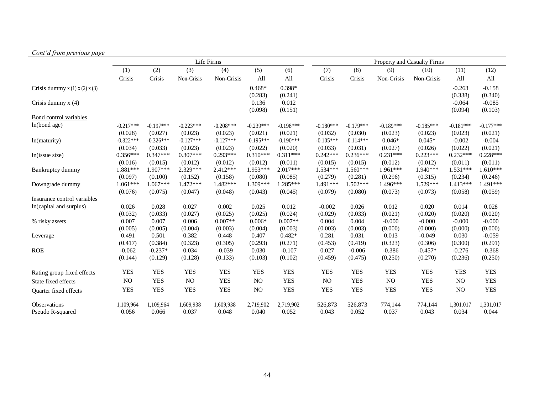# *Cont'd from previous page*

|                                   |             |             |             | Life Firms  |             |             |                |             |             | <b>Property and Casualty Firms</b> |                |             |
|-----------------------------------|-------------|-------------|-------------|-------------|-------------|-------------|----------------|-------------|-------------|------------------------------------|----------------|-------------|
|                                   | (1)         | (2)         | (3)         | (4)         | (5)         | (6)         | (7)            | (8)         | (9)         | (10)                               | (11)           | (12)        |
|                                   | Crisis      | Crisis      | Non-Crisis  | Non-Crisis  | All         | All         | Crisis         | Crisis      | Non-Crisis  | Non-Crisis                         | All            | All         |
| Crisis dummy $x(1)$ $x(2)$ $x(3)$ |             |             |             |             | $0.468*$    | $0.398*$    |                |             |             |                                    | $-0.263$       | $-0.158$    |
|                                   |             |             |             |             | (0.283)     | (0.241)     |                |             |             |                                    | (0.338)        | (0.340)     |
| Crisis dummy $x(4)$               |             |             |             |             | 0.136       | 0.012       |                |             |             |                                    | $-0.064$       | $-0.085$    |
|                                   |             |             |             |             | (0.098)     | (0.151)     |                |             |             |                                    | (0.094)        | (0.103)     |
| Bond control variables            |             |             |             |             |             |             |                |             |             |                                    |                |             |
| ln(bond age)                      | $-0.217***$ | $-0.197***$ | $-0.223***$ | $-0.208***$ | $-0.239***$ | $-0.198***$ | $-0.180***$    | $-0.179***$ | $-0.189***$ | $-0.185***$                        | $-0.181***$    | $-0.177***$ |
|                                   | (0.028)     | (0.027)     | (0.023)     | (0.023)     | (0.021)     | (0.021)     | (0.032)        | (0.030)     | (0.023)     | (0.023)                            | (0.023)        | (0.021)     |
| ln(maturity)                      | $-0.322***$ | $-0.326***$ | $-0.127***$ | $-0.127***$ | $-0.195***$ | $-0.190***$ | $-0.105***$    | $-0.114***$ | $0.046*$    | $0.045*$                           | $-0.002$       | $-0.004$    |
|                                   | (0.034)     | (0.033)     | (0.023)     | (0.023)     | (0.022)     | (0.020)     | (0.033)        | (0.031)     | (0.027)     | (0.026)                            | (0.022)        | (0.021)     |
| ln(issue size)                    | $0.356***$  | $0.347***$  | $0.307***$  | $0.293***$  | $0.310***$  | $0.311***$  | $0.242***$     | $0.236***$  | $0.231***$  | $0.223***$                         | $0.232***$     | $0.228***$  |
|                                   | (0.016)     | (0.015)     | (0.012)     | (0.012)     | (0.012)     | (0.011)     | (0.015)        | (0.015)     | (0.012)     | (0.012)                            | (0.011)        | (0.011)     |
| Bankruptcy dummy                  | 1.881***    | $1.907***$  | 2.329***    | $2.412***$  | 1.953***    | $2.017***$  | $1.534***$     | $1.560***$  | 1.961***    | $1.940***$                         | $1.531***$     | $1.610***$  |
|                                   | (0.097)     | (0.100)     | (0.152)     | (0.158)     | (0.080)     | (0.085)     | (0.279)        | (0.281)     | (0.296)     | (0.315)                            | (0.234)        | (0.246)     |
| Downgrade dummy                   | $1.061***$  | $1.067***$  | 1.472***    | 1.482***    | $1.309***$  | 1.285***    | $1.491***$     | 1.502***    | $1.496***$  | 1.529 ***                          | $1.413***$     | 1.491***    |
|                                   | (0.076)     | (0.075)     | (0.047)     | (0.048)     | (0.043)     | (0.045)     | (0.079)        | (0.080)     | (0.073)     | (0.073)                            | (0.058)        | (0.059)     |
| Insurance control variables       |             |             |             |             |             |             |                |             |             |                                    |                |             |
| In(capital and surplus)           | 0.026       | 0.028       | 0.027       | 0.002       | 0.025       | 0.012       | $-0.002$       | 0.026       | 0.012       | 0.020                              | 0.014          | 0.028       |
|                                   | (0.032)     | (0.033)     | (0.027)     | (0.025)     | (0.025)     | (0.024)     | (0.029)        | (0.033)     | (0.021)     | (0.020)                            | (0.020)        | (0.020)     |
| % risky assets                    | 0.007       | 0.007       | 0.006       | $0.007**$   | $0.006*$    | $0.007**$   | 0.004          | 0.004       | $-0.000$    | $-0.000$                           | $-0.000$       | $-0.000$    |
|                                   | (0.005)     | (0.005)     | (0.004)     | (0.003)     | (0.004)     | (0.003)     | (0.003)        | (0.003)     | (0.000)     | (0.000)                            | (0.000)        | (0.000)     |
| Leverage                          | 0.491       | 0.501       | 0.382       | 0.448       | 0.407       | $0.482*$    | 0.281          | 0.031       | 0.013       | $-0.049$                           | 0.030          | $-0.059$    |
|                                   | (0.417)     | (0.384)     | (0.323)     | (0.305)     | (0.293)     | (0.271)     | (0.453)        | (0.419)     | (0.323)     | (0.306)                            | (0.300)        | (0.291)     |
| <b>ROE</b>                        | $-0.062$    | $-0.237*$   | 0.034       | $-0.039$    | 0.030       | $-0.107$    | 0.027          | $-0.006$    | $-0.386$    | $-0.457*$                          | $-0.276$       | $-0.368$    |
|                                   | (0.144)     | (0.129)     | (0.128)     | (0.133)     | (0.103)     | (0.102)     | (0.459)        | (0.475)     | (0.250)     | (0.270)                            | (0.236)        | (0.250)     |
| Rating group fixed effects        | <b>YES</b>  | <b>YES</b>  | <b>YES</b>  | <b>YES</b>  | <b>YES</b>  | <b>YES</b>  | <b>YES</b>     | <b>YES</b>  | <b>YES</b>  | <b>YES</b>                         | <b>YES</b>     | <b>YES</b>  |
| State fixed effects               | NO          | <b>YES</b>  | NO          | <b>YES</b>  | NO          | <b>YES</b>  | N <sub>O</sub> | <b>YES</b>  | NO          | <b>YES</b>                         | N <sub>O</sub> | <b>YES</b>  |
| Quarter fixed effects             | <b>YES</b>  | <b>YES</b>  | <b>YES</b>  | <b>YES</b>  | $\rm NO$    | <b>YES</b>  | <b>YES</b>     | <b>YES</b>  | <b>YES</b>  | <b>YES</b>                         | NO             | <b>YES</b>  |
| Observations                      | 1,109,964   | 1,109,964   | 1,609,938   | 1,609,938   | 2,719,902   | 2,719,902   | 526,873        | 526,873     | 774,144     | 774,144                            | 1,301,017      | 1,301,017   |
| Pseudo R-squared                  | 0.056       | 0.066       | 0.037       | 0.048       | 0.040       | 0.052       | 0.043          | 0.052       | 0.037       | 0.043                              | 0.034          | 0.044       |
|                                   |             |             |             |             |             |             |                |             |             |                                    |                |             |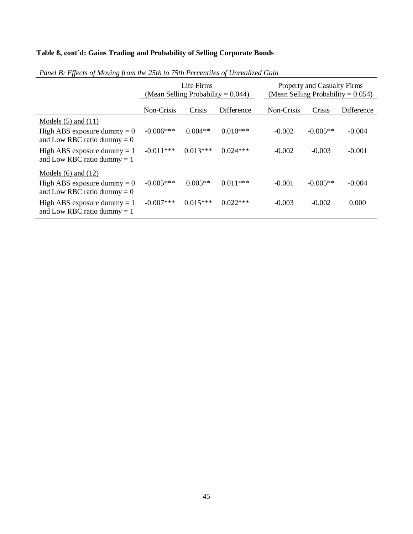# **Table 8, cont'd: Gains Trading and Probability of Selling Corporate Bonds**

|                                                                |              | Life Firms<br>(Mean Selling Probability = $0.044$ ) |            | <b>Property and Casualty Firms</b><br>(Mean Selling Probability = $0.054$ ) |            |            |  |  |
|----------------------------------------------------------------|--------------|-----------------------------------------------------|------------|-----------------------------------------------------------------------------|------------|------------|--|--|
|                                                                | Non-Crisis   | Crisis                                              | Difference | Non-Crisis                                                                  | Crisis     | Difference |  |  |
| Models $(5)$ and $(11)$                                        |              |                                                     |            |                                                                             |            |            |  |  |
| High ABS exposure dummy $= 0$<br>and Low RBC ratio dummy $= 0$ | $-0.006***$  | $0.004**$                                           | $0.010***$ | $-0.002$                                                                    | $-0.005**$ | $-0.004$   |  |  |
| High ABS exposure dummy $= 1$<br>and Low RBC ratio dummy $= 1$ | $-0.011***$  | $0.013***$                                          | $0.024***$ | $-0.002$                                                                    | $-0.003$   | $-0.001$   |  |  |
| Models $(6)$ and $(12)$                                        |              |                                                     |            |                                                                             |            |            |  |  |
| High ABS exposure dummy $= 0$<br>and Low RBC ratio dummy $= 0$ | $-0.005***$  | $0.005**$                                           | $0.011***$ | $-0.001$                                                                    | $-0.005**$ | $-0.004$   |  |  |
| High ABS exposure dummy $= 1$<br>and Low RBC ratio dummy $= 1$ | $-0.007$ *** | $0.015***$                                          | $0.022***$ | $-0.003$                                                                    | $-0.002$   | 0.000      |  |  |

# *Panel B: Effects of Moving from the 25th to 75th Percentiles of Unrealized Gain*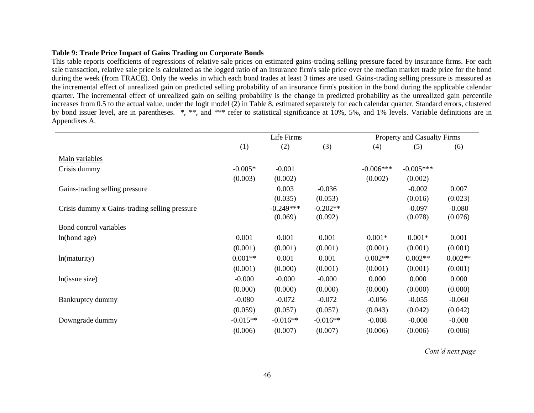### **Table 9: Trade Price Impact of Gains Trading on Corporate Bonds**

This table reports coefficients of regressions of relative sale prices on estimated gains-trading selling pressure faced by insurance firms. For each sale transaction, relative sale price is calculated as the logged ratio of an insurance firm's sale price over the median market trade price for the bond during the week (from TRACE). Only the weeks in which each bond trades at least 3 times are used. Gains-trading selling pressure is measured as the incremental effect of unrealized gain on predicted selling probability of an insurance firm's position in the bond during the applicable calendar quarter. The incremental effect of unrealized gain on selling probability is the change in predicted probability as the unrealized gain percentile increases from 0.5 to the actual value, under the logit model (2) in Table 8, estimated separately for each calendar quarter. Standard errors, clustered by bond issuer level, are in parentheses. \*, \*\*, and \*\*\* refer to statistical significance at 10%, 5%, and 1% levels. Variable definitions are in Appendixes A.

|                                               |            | Life Firms  |            |             | <b>Property and Casualty Firms</b> |           |
|-----------------------------------------------|------------|-------------|------------|-------------|------------------------------------|-----------|
|                                               | (1)        | (2)         | (3)        | (4)         | (5)                                | (6)       |
| Main variables                                |            |             |            |             |                                    |           |
| Crisis dummy                                  | $-0.005*$  | $-0.001$    |            | $-0.006***$ | $-0.005***$                        |           |
|                                               | (0.003)    | (0.002)     |            | (0.002)     | (0.002)                            |           |
| Gains-trading selling pressure                |            | 0.003       | $-0.036$   |             | $-0.002$                           | 0.007     |
|                                               |            | (0.035)     | (0.053)    |             | (0.016)                            | (0.023)   |
| Crisis dummy x Gains-trading selling pressure |            | $-0.249***$ | $-0.202**$ |             | $-0.097$                           | $-0.080$  |
|                                               |            | (0.069)     | (0.092)    |             | (0.078)                            | (0.076)   |
| <b>Bond control variables</b>                 |            |             |            |             |                                    |           |
| ln(bond age)                                  | 0.001      | 0.001       | 0.001      | $0.001*$    | $0.001*$                           | 0.001     |
|                                               | (0.001)    | (0.001)     | (0.001)    | (0.001)     | (0.001)                            | (0.001)   |
| ln(maturity)                                  | $0.001**$  | 0.001       | 0.001      | $0.002**$   | $0.002**$                          | $0.002**$ |
|                                               | (0.001)    | (0.000)     | (0.001)    | (0.001)     | (0.001)                            | (0.001)   |
| ln(issue size)                                | $-0.000$   | $-0.000$    | $-0.000$   | 0.000       | 0.000                              | 0.000     |
|                                               | (0.000)    | (0.000)     | (0.000)    | (0.000)     | (0.000)                            | (0.000)   |
| Bankruptcy dummy                              | $-0.080$   | $-0.072$    | $-0.072$   | $-0.056$    | $-0.055$                           | $-0.060$  |
|                                               | (0.059)    | (0.057)     | (0.057)    | (0.043)     | (0.042)                            | (0.042)   |
| Downgrade dummy                               | $-0.015**$ | $-0.016**$  | $-0.016**$ | $-0.008$    | $-0.008$                           | $-0.008$  |
|                                               | (0.006)    | (0.007)     | (0.007)    | (0.006)     | (0.006)                            | (0.006)   |

*Cont'd next page*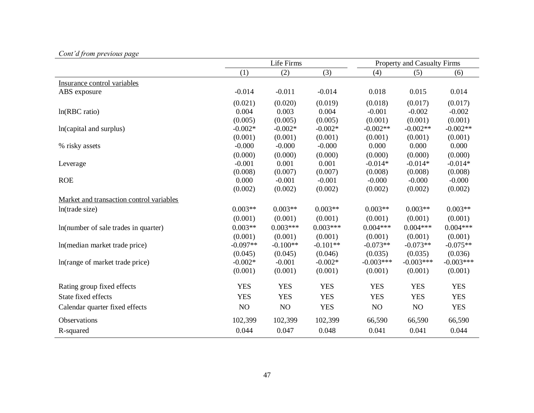|                                          |            | Life Firms |            |             | <b>Property and Casualty Firms</b> |             |  |
|------------------------------------------|------------|------------|------------|-------------|------------------------------------|-------------|--|
|                                          | (1)        | (2)        | (3)        | (4)         | (5)                                | (6)         |  |
| Insurance control variables              |            |            |            |             |                                    |             |  |
| ABS exposure                             | $-0.014$   | $-0.011$   | $-0.014$   | 0.018       | 0.015                              | 0.014       |  |
|                                          | (0.021)    | (0.020)    | (0.019)    | (0.018)     | (0.017)                            | (0.017)     |  |
| ln(RBC ratio)                            | 0.004      | 0.003      | 0.004      | $-0.001$    | $-0.002$                           | $-0.002$    |  |
|                                          | (0.005)    | (0.005)    | (0.005)    | (0.001)     | (0.001)                            | (0.001)     |  |
| In(capital and surplus)                  | $-0.002*$  | $-0.002*$  | $-0.002*$  | $-0.002**$  | $-0.002**$                         | $-0.002**$  |  |
|                                          | (0.001)    | (0.001)    | (0.001)    | (0.001)     | (0.001)                            | (0.001)     |  |
| % risky assets                           | $-0.000$   | $-0.000$   | $-0.000$   | 0.000       | 0.000                              | 0.000       |  |
|                                          | (0.000)    | (0.000)    | (0.000)    | (0.000)     | (0.000)                            | (0.000)     |  |
| Leverage                                 | $-0.001$   | 0.001      | 0.001      | $-0.014*$   | $-0.014*$                          | $-0.014*$   |  |
|                                          | (0.008)    | (0.007)    | (0.007)    | (0.008)     | (0.008)                            | (0.008)     |  |
| <b>ROE</b>                               | 0.000      | $-0.001$   | $-0.001$   | $-0.000$    | $-0.000$                           | $-0.000$    |  |
|                                          | (0.002)    | (0.002)    | (0.002)    | (0.002)     | (0.002)                            | (0.002)     |  |
| Market and transaction control variables |            |            |            |             |                                    |             |  |
| ln(trade size)                           | $0.003**$  | $0.003**$  | $0.003**$  | $0.003**$   | $0.003**$                          | $0.003**$   |  |
|                                          | (0.001)    | (0.001)    | (0.001)    | (0.001)     | (0.001)                            | (0.001)     |  |
| In(number of sale trades in quarter)     | $0.003**$  | $0.003***$ | $0.003***$ | $0.004***$  | $0.004***$                         | $0.004***$  |  |
|                                          | (0.001)    | (0.001)    | (0.001)    | (0.001)     | (0.001)                            | (0.001)     |  |
| In(median market trade price)            | $-0.097**$ | $-0.100**$ | $-0.101**$ | $-0.073**$  | $-0.073**$                         | $-0.075**$  |  |
|                                          | (0.045)    | (0.045)    | (0.046)    | (0.035)     | (0.035)                            | (0.036)     |  |
| In(range of market trade price)          | $-0.002*$  | $-0.001$   | $-0.002*$  | $-0.003***$ | $-0.003***$                        | $-0.003***$ |  |
|                                          | (0.001)    | (0.001)    | (0.001)    | (0.001)     | (0.001)                            | (0.001)     |  |
| Rating group fixed effects               | <b>YES</b> | <b>YES</b> | <b>YES</b> | <b>YES</b>  | <b>YES</b>                         | <b>YES</b>  |  |
| State fixed effects                      | <b>YES</b> | <b>YES</b> | <b>YES</b> | <b>YES</b>  | <b>YES</b>                         | <b>YES</b>  |  |
| Calendar quarter fixed effects           | NO         | NO         | <b>YES</b> | NO          | NO                                 | <b>YES</b>  |  |
| Observations                             | 102,399    | 102,399    | 102,399    | 66,590      | 66,590                             | 66,590      |  |
| R-squared                                | 0.044      | 0.047      | 0.048      | 0.041       | 0.041                              | 0.044       |  |

# *Cont'd from previous page*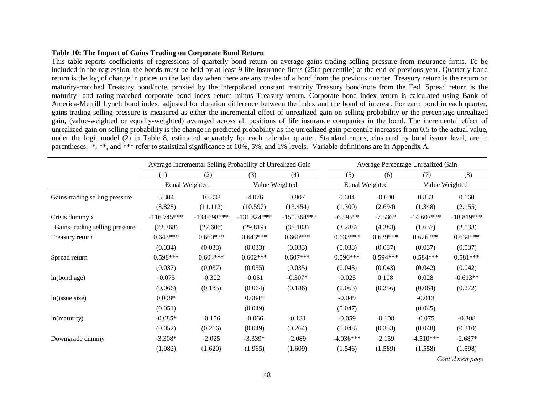### **Table 10: The Impact of Gains Trading on Corporate Bond Return**

This table reports coefficients of regressions of quarterly bond return on average gains-trading selling pressure from insurance firms. To be included in the regression, the bonds must be held by at least 9 life insurance firms (25th percentile) at the end of previous year. Quarterly bond return is the log of change in prices on the last day when there are any trades of a bond from the previous quarter. Treasury return is the return on maturity-matched Treasury bond/note, proxied by the interpolated constant maturity Treasury bond/note from the Fed. Spread return is the maturity- and rating-matched corporate bond index return minus Treasury return. Corporate bond index return is calculated using Bank of America-Merrill Lynch bond index, adjusted for duration difference between the index and the bond of interest. For each bond in each quarter, gains-trading selling pressure is measured as either the incremental effect of unrealized gain on selling probability or the percentage unrealized gain, (value-weighted or equally-weighted) averaged across all positions of life insurance companies in the bond. The incremental effect of unrealized gain on selling probability is the change in predicted probability as the unrealized gain percentile increases from 0.5 to the actual value, under the logit model (2) in Table 8, estimated separately for each calendar quarter. Standard errors, clustered by bond issuer level, are in parentheses. \*, \*\*, and \*\*\* refer to statistical significance at 10%, 5%, and 1% levels. Variable definitions are in Appendix A.

|                                |                |               | Average Incremental Selling Probability of Unrealized Gain |               |                |            | Average Percentage Unrealized Gain |                               |
|--------------------------------|----------------|---------------|------------------------------------------------------------|---------------|----------------|------------|------------------------------------|-------------------------------|
|                                | (1)            | (2)           | (3)                                                        | (4)           | (5)            | (6)        | (7)                                | (8)                           |
|                                | Equal Weighted |               | Value Weighted                                             |               | Equal Weighted |            | Value Weighted                     |                               |
| Gains-trading selling pressure | 5.304          | 10.838        | $-4.076$                                                   | 0.807         | 0.604          | $-0.600$   | 0.833                              | 0.160                         |
|                                | (8.828)        | (11.112)      | (10.597)                                                   | (13.454)      | (1.300)        | (2.694)    | (1.348)                            | (2.155)                       |
| Crisis dummy x                 | $-116.745***$  | $-134.698***$ | $-131.824***$                                              | $-150.364***$ | $-6.595**$     | $-7.536*$  | $-14.607***$                       | $-18.819***$                  |
| Gains-trading selling pressure | (22.368)       | (27.606)      | (29.819)                                                   | (35.103)      | (3.288)        | (4.383)    | (1.637)                            | (2.038)                       |
| Treasury return                | $0.643***$     | $0.660***$    | $0.643***$                                                 | $0.660***$    | $0.633***$     | $0.639***$ | $0.626***$                         | $0.634***$                    |
|                                | (0.034)        | (0.033)       | (0.033)                                                    | (0.033)       | (0.038)        | (0.037)    | (0.037)                            | (0.037)                       |
| Spread return                  | $0.598***$     | $0.604***$    | $0.602***$                                                 | $0.607***$    | $0.596***$     | $0.594***$ | $0.584***$                         | $0.581***$                    |
|                                | (0.037)        | (0.037)       | (0.035)                                                    | (0.035)       | (0.043)        | (0.043)    | (0.042)                            | (0.042)                       |
| ln(bond age)                   | $-0.075$       | $-0.302$      | $-0.051$                                                   | $-0.307*$     | $-0.025$       | 0.108      | 0.028                              | $-0.613**$                    |
|                                | (0.066)        | (0.185)       | (0.064)                                                    | (0.186)       | (0.063)        | (0.356)    | (0.064)                            | (0.272)                       |
| ln(issue size)                 | $0.098*$       |               | $0.084*$                                                   |               | $-0.049$       |            | $-0.013$                           |                               |
|                                | (0.051)        |               | (0.049)                                                    |               | (0.047)        |            | (0.045)                            |                               |
| ln(maturity)                   | $-0.085*$      | $-0.156$      | $-0.066$                                                   | $-0.131$      | $-0.059$       | $-0.108$   | $-0.075$                           | $-0.308$                      |
|                                | (0.052)        | (0.266)       | (0.049)                                                    | (0.264)       | (0.048)        | (0.353)    | (0.048)                            | (0.310)                       |
| Downgrade dummy                | $-3.308*$      | $-2.025$      | $-3.339*$                                                  | $-2.089$      | $-4.036***$    | $-2.159$   | $-4.510***$                        | $-2.687*$                     |
|                                | (1.982)        | (1.620)       | (1.965)                                                    | (1.609)       | (1.546)        | (1.589)    | (1.558)                            | (1.598)                       |
|                                |                |               |                                                            |               |                |            |                                    | $\sim$ $\cdot$ $\cdot$ $\sim$ |

*Cont'd next page*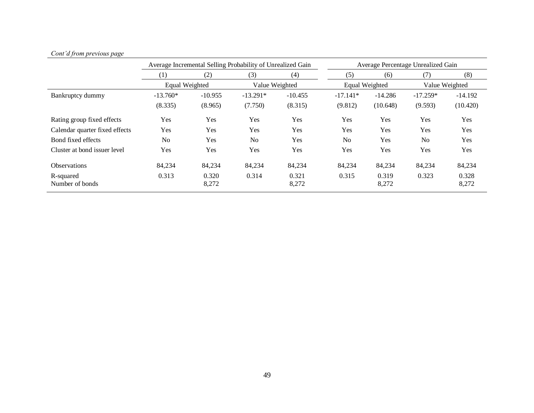| $\sqrt{ }$                     |                |           | Average Incremental Selling Probability of Unrealized Gain |           | Average Percentage Unrealized Gain |                |                |           |  |
|--------------------------------|----------------|-----------|------------------------------------------------------------|-----------|------------------------------------|----------------|----------------|-----------|--|
|                                | (1)            | (2)       | (3)                                                        | (4)       | (5)                                | (6)            | (7)            | (8)       |  |
|                                | Equal Weighted |           | Value Weighted                                             |           |                                    | Equal Weighted | Value Weighted |           |  |
| Bankruptcy dummy               | $-13.760*$     | $-10.955$ | $-13.291*$                                                 | $-10.455$ | $-17.141*$                         | $-14.286$      | $-17.259*$     | $-14.192$ |  |
|                                | (8.335)        | (8.965)   | (7.750)                                                    | (8.315)   | (9.812)                            | (10.648)       | (9.593)        | (10.420)  |  |
| Rating group fixed effects     | Yes            | Yes       | Yes                                                        | Yes       | Yes                                | Yes            | Yes            | Yes       |  |
| Calendar quarter fixed effects | Yes            | Yes       | Yes                                                        | Yes       | Yes                                | Yes            | Yes            | Yes       |  |
| Bond fixed effects             | N <sub>0</sub> | Yes       | N <sub>o</sub>                                             | Yes       | N <sub>o</sub>                     | Yes            | N <sub>0</sub> | Yes       |  |
| Cluster at bond issuer level   | Yes            | Yes       | Yes                                                        | Yes       | Yes                                | Yes            | Yes            | Yes       |  |
| <b>Observations</b>            | 84,234         | 84.234    | 84,234                                                     | 84,234    | 84.234                             | 84,234         | 84,234         | 84,234    |  |
| R-squared                      | 0.313          | 0.320     | 0.314                                                      | 0.321     | 0.315                              | 0.319          | 0.323          | 0.328     |  |
| Number of bonds                |                | 8,272     |                                                            | 8,272     |                                    | 8,272          |                | 8,272     |  |

## *Cont'd from previous page*